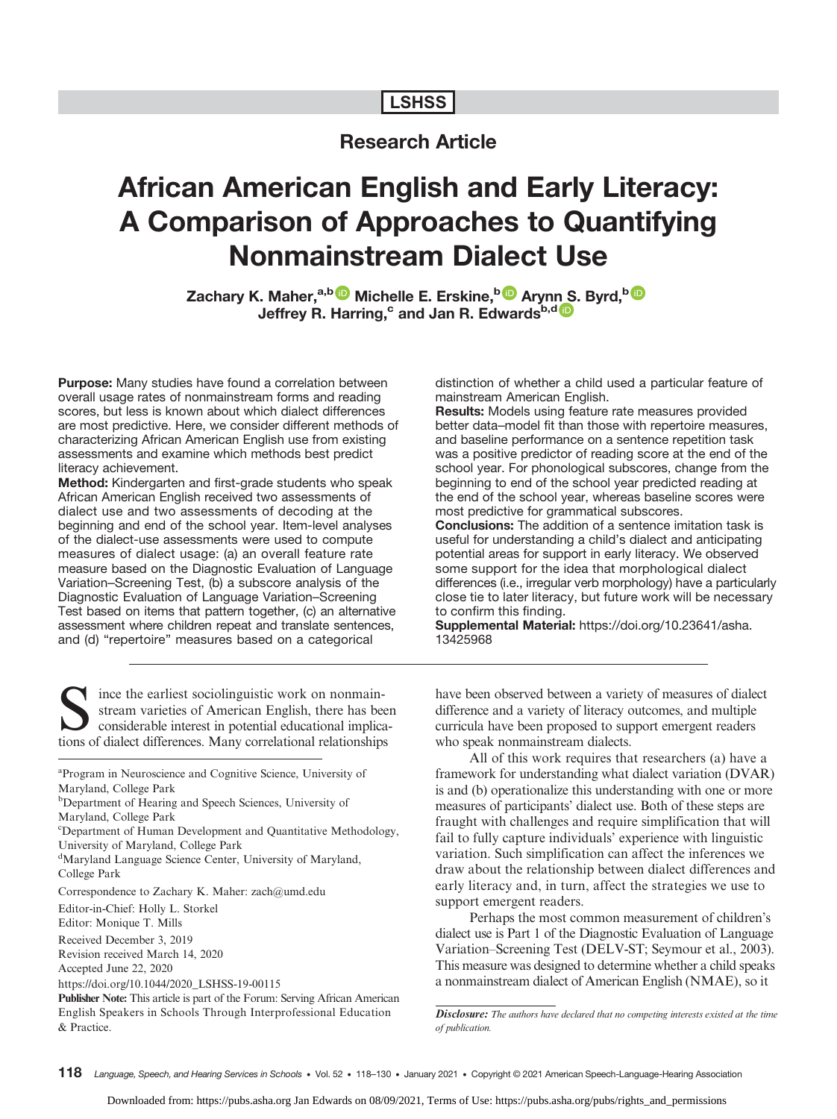## **LSHSS**

# Research Article

# African American English and Early Literacy: A Comparison of Approaches to Quantifying Nonmainstream Dialect Use

Zachary K. Maher,<sup>a,b </sup>Michelle E. Erskine,<sup>b D</sup> Aryn[n S](https://orcid.org/0000-0001-8872-5978). Byrd,<sup>b D</sup> Jeffrey R. Harring,<sup>c</sup> and Jan R. Edwards<sup>b,d</sup>

Purpose: Many studies have found a correlation between overall usage rates of nonmainstream forms and reading scores, but less is known about which dialect differences are most predictive. Here, we consider different methods of characterizing African American English use from existing assessments and examine which methods best predict literacy achievement.

Method: Kindergarten and first-grade students who speak African American English received two assessments of dialect use and two assessments of decoding at the beginning and end of the school year. Item-level analyses of the dialect-use assessments were used to compute measures of dialect usage: (a) an overall feature rate measure based on the Diagnostic Evaluation of Language Variation–Screening Test, (b) a subscore analysis of the Diagnostic Evaluation of Language Variation–Screening Test based on items that pattern together, (c) an alternative assessment where children repeat and translate sentences, and (d) "repertoire" measures based on a categorical

distinction of whether a child used a particular feature of mainstream American English.

Results: Models using feature rate measures provided better data–model fit than those with repertoire measures, and baseline performance on a sentence repetition task was a positive predictor of reading score at the end of the school year. For phonological subscores, change from the beginning to end of the school year predicted reading at the end of the school year, whereas baseline scores were most predictive for grammatical subscores.

Conclusions: The addition of a sentence imitation task is useful for understanding a child's dialect and anticipating potential areas for support in early literacy. We observed some support for the idea that morphological dialect differences (i.e., irregular verb morphology) have a particularly close tie to later literacy, but future work will be necessary to confirm this finding.

Supplemental Material: [https://doi.org/10.23641/asha.](https://doi.org/10.23641/asha.13425968) [13425968](https://doi.org/10.23641/asha.13425968)

ince the earliest sociolinguistic work on nonmainstream varieties of American English, there has been considerable interest in potential educational implications of dialect differences. Many correlational relationships

<sup>a</sup>Program in Neuroscience and Cognitive Science, University of Maryland, College Park

<sup>d</sup>Maryland Language Science Center, University of Maryland, College Park

Correspondence to Zachary K. Maher: zach@umd.edu

Editor-in-Chief: Holly L. Storkel

Editor: Monique T. Mills

Received December 3, 2019

Revision received March 14, 2020 Accepted June 22, 2020

https://doi.org/10.1044/2020\_LSHSS-19-00115

Publisher Note: This article is part of the Forum: Serving African American English Speakers in Schools Through Interprofessional Education & Practice.

have been observed between a variety of measures of dialect difference and a variety of literacy outcomes, and multiple curricula have been proposed to support emergent readers who speak nonmainstream dialects.

All of this work requires that researchers (a) have a framework for understanding what dialect variation (DVAR) is and (b) operationalize this understanding with one or more measures of participants' dialect use. Both of these steps are fraught with challenges and require simplification that will fail to fully capture individuals' experience with linguistic variation. Such simplification can affect the inferences we draw about the relationship between dialect differences and early literacy and, in turn, affect the strategies we use to support emergent readers.

Perhaps the most common measurement of children's dialect use is Part 1 of the Diagnostic Evaluation of Language Variation–Screening Test (DELV-ST; Seymour et al., 2003). This measure was designed to determine whether a child speaks a nonmainstream dialect of American English (NMAE), so it

Disclosure: The authors have declared that no competing interests existed at the time of publication.

<sup>&</sup>lt;sup>b</sup>Department of Hearing and Speech Sciences, University of Maryland, College Park

c Department of Human Development and Quantitative Methodology, University of Maryland, College Park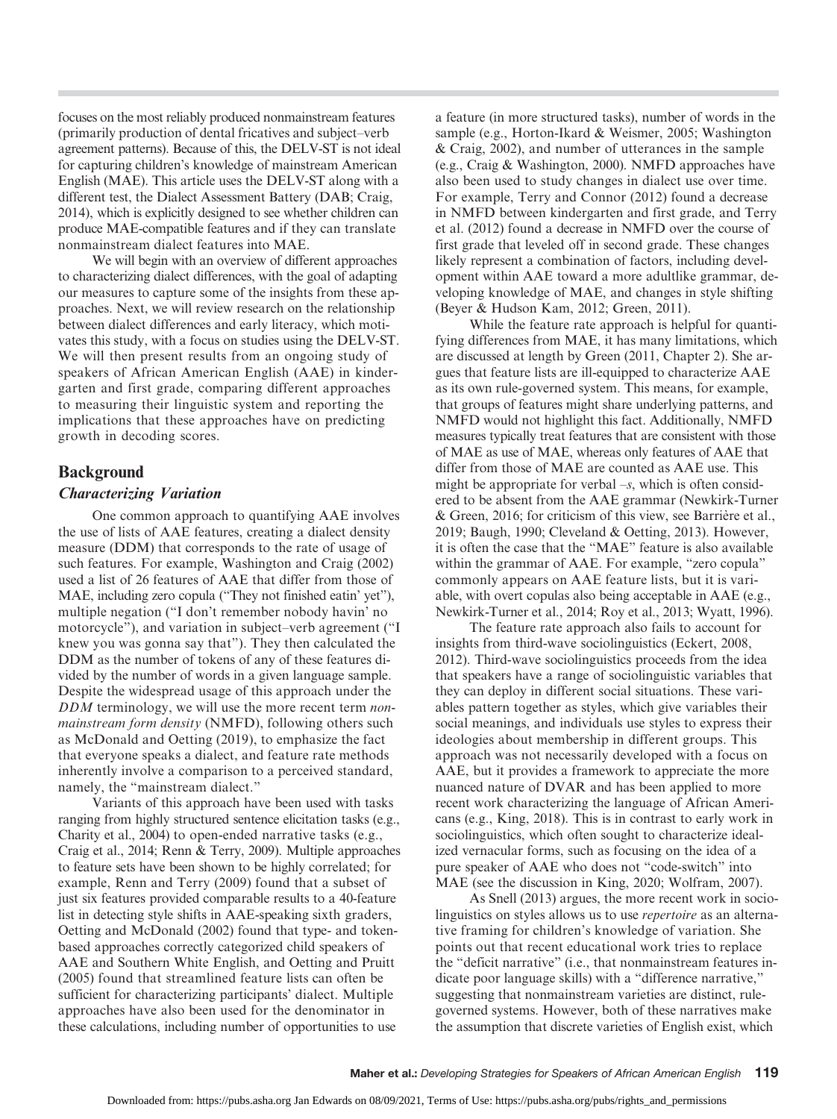focuses on the most reliably produced nonmainstream features (primarily production of dental fricatives and subject–verb agreement patterns). Because of this, the DELV-ST is not ideal for capturing children's knowledge of mainstream American English (MAE). This article uses the DELV-ST along with a different test, the Dialect Assessment Battery (DAB; Craig, 2014), which is explicitly designed to see whether children can produce MAE-compatible features and if they can translate nonmainstream dialect features into MAE.

We will begin with an overview of different approaches to characterizing dialect differences, with the goal of adapting our measures to capture some of the insights from these approaches. Next, we will review research on the relationship between dialect differences and early literacy, which motivates this study, with a focus on studies using the DELV-ST. We will then present results from an ongoing study of speakers of African American English (AAE) in kindergarten and first grade, comparing different approaches to measuring their linguistic system and reporting the implications that these approaches have on predicting growth in decoding scores.

## Background

#### Characterizing Variation

One common approach to quantifying AAE involves the use of lists of AAE features, creating a dialect density measure (DDM) that corresponds to the rate of usage of such features. For example, Washington and Craig (2002) used a list of 26 features of AAE that differ from those of MAE, including zero copula ("They not finished eatin' yet"), multiple negation ("I don't remember nobody havin' no motorcycle"), and variation in subject–verb agreement ("I knew you was gonna say that"). They then calculated the DDM as the number of tokens of any of these features divided by the number of words in a given language sample. Despite the widespread usage of this approach under the DDM terminology, we will use the more recent term *non*mainstream form density (NMFD), following others such as McDonald and Oetting (2019), to emphasize the fact that everyone speaks a dialect, and feature rate methods inherently involve a comparison to a perceived standard, namely, the "mainstream dialect."

Variants of this approach have been used with tasks ranging from highly structured sentence elicitation tasks (e.g., Charity et al., 2004) to open-ended narrative tasks (e.g., Craig et al., 2014; Renn & Terry, 2009). Multiple approaches to feature sets have been shown to be highly correlated; for example, Renn and Terry (2009) found that a subset of just six features provided comparable results to a 40-feature list in detecting style shifts in AAE-speaking sixth graders, Oetting and McDonald (2002) found that type- and tokenbased approaches correctly categorized child speakers of AAE and Southern White English, and Oetting and Pruitt (2005) found that streamlined feature lists can often be sufficient for characterizing participants' dialect. Multiple approaches have also been used for the denominator in these calculations, including number of opportunities to use

a feature (in more structured tasks), number of words in the sample (e.g., Horton-Ikard & Weismer, 2005; Washington & Craig, 2002), and number of utterances in the sample (e.g., Craig & Washington, 2000). NMFD approaches have also been used to study changes in dialect use over time. For example, Terry and Connor (2012) found a decrease in NMFD between kindergarten and first grade, and Terry et al. (2012) found a decrease in NMFD over the course of first grade that leveled off in second grade. These changes likely represent a combination of factors, including development within AAE toward a more adultlike grammar, developing knowledge of MAE, and changes in style shifting (Beyer & Hudson Kam, 2012; Green, 2011).

While the feature rate approach is helpful for quantifying differences from MAE, it has many limitations, which are discussed at length by Green (2011, Chapter 2). She argues that feature lists are ill-equipped to characterize AAE as its own rule-governed system. This means, for example, that groups of features might share underlying patterns, and NMFD would not highlight this fact. Additionally, NMFD measures typically treat features that are consistent with those of MAE as use of MAE, whereas only features of AAE that differ from those of MAE are counted as AAE use. This might be appropriate for verbal  $-s$ , which is often considered to be absent from the AAE grammar (Newkirk-Turner & Green, 2016; for criticism of this view, see Barrière et al., 2019; Baugh, 1990; Cleveland & Oetting, 2013). However, it is often the case that the "MAE" feature is also available within the grammar of AAE. For example, "zero copula" commonly appears on AAE feature lists, but it is variable, with overt copulas also being acceptable in AAE (e.g., Newkirk-Turner et al., 2014; Roy et al., 2013; Wyatt, 1996).

The feature rate approach also fails to account for insights from third-wave sociolinguistics (Eckert, 2008, 2012). Third-wave sociolinguistics proceeds from the idea that speakers have a range of sociolinguistic variables that they can deploy in different social situations. These variables pattern together as styles, which give variables their social meanings, and individuals use styles to express their ideologies about membership in different groups. This approach was not necessarily developed with a focus on AAE, but it provides a framework to appreciate the more nuanced nature of DVAR and has been applied to more recent work characterizing the language of African Americans (e.g., King, 2018). This is in contrast to early work in sociolinguistics, which often sought to characterize idealized vernacular forms, such as focusing on the idea of a pure speaker of AAE who does not "code-switch" into MAE (see the discussion in King, 2020; Wolfram, 2007).

As Snell (2013) argues, the more recent work in sociolinguistics on styles allows us to use repertoire as an alternative framing for children's knowledge of variation. She points out that recent educational work tries to replace the "deficit narrative" (i.e., that nonmainstream features indicate poor language skills) with a "difference narrative," suggesting that nonmainstream varieties are distinct, rulegoverned systems. However, both of these narratives make the assumption that discrete varieties of English exist, which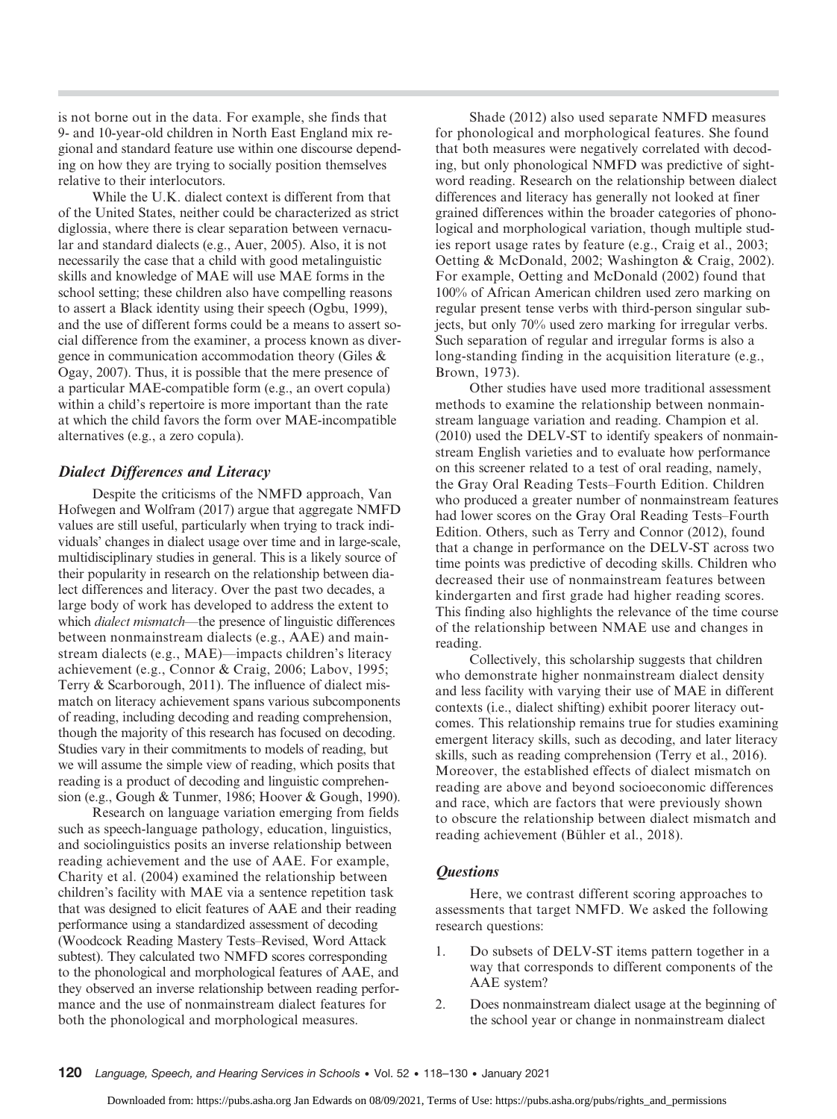is not borne out in the data. For example, she finds that 9- and 10-year-old children in North East England mix regional and standard feature use within one discourse depending on how they are trying to socially position themselves relative to their interlocutors.

While the U.K. dialect context is different from that of the United States, neither could be characterized as strict diglossia, where there is clear separation between vernacular and standard dialects (e.g., Auer, 2005). Also, it is not necessarily the case that a child with good metalinguistic skills and knowledge of MAE will use MAE forms in the school setting; these children also have compelling reasons to assert a Black identity using their speech (Ogbu, 1999), and the use of different forms could be a means to assert social difference from the examiner, a process known as divergence in communication accommodation theory (Giles & Ogay, 2007). Thus, it is possible that the mere presence of a particular MAE-compatible form (e.g., an overt copula) within a child's repertoire is more important than the rate at which the child favors the form over MAE-incompatible alternatives (e.g., a zero copula).

## Dialect Differences and Literacy

Despite the criticisms of the NMFD approach, Van Hofwegen and Wolfram (2017) argue that aggregate NMFD values are still useful, particularly when trying to track individuals' changes in dialect usage over time and in large-scale, multidisciplinary studies in general. This is a likely source of their popularity in research on the relationship between dialect differences and literacy. Over the past two decades, a large body of work has developed to address the extent to which *dialect mismatch*—the presence of linguistic differences between nonmainstream dialects (e.g., AAE) and mainstream dialects (e.g., MAE)—impacts children's literacy achievement (e.g., Connor & Craig, 2006; Labov, 1995; Terry & Scarborough, 2011). The influence of dialect mismatch on literacy achievement spans various subcomponents of reading, including decoding and reading comprehension, though the majority of this research has focused on decoding. Studies vary in their commitments to models of reading, but we will assume the simple view of reading, which posits that reading is a product of decoding and linguistic comprehension (e.g., Gough & Tunmer, 1986; Hoover & Gough, 1990).

Research on language variation emerging from fields such as speech-language pathology, education, linguistics, and sociolinguistics posits an inverse relationship between reading achievement and the use of AAE. For example, Charity et al. (2004) examined the relationship between children's facility with MAE via a sentence repetition task that was designed to elicit features of AAE and their reading performance using a standardized assessment of decoding (Woodcock Reading Mastery Tests–Revised, Word Attack subtest). They calculated two NMFD scores corresponding to the phonological and morphological features of AAE, and they observed an inverse relationship between reading performance and the use of nonmainstream dialect features for both the phonological and morphological measures.

Shade (2012) also used separate NMFD measures for phonological and morphological features. She found that both measures were negatively correlated with decoding, but only phonological NMFD was predictive of sightword reading. Research on the relationship between dialect differences and literacy has generally not looked at finer grained differences within the broader categories of phonological and morphological variation, though multiple studies report usage rates by feature (e.g., Craig et al., 2003; Oetting & McDonald, 2002; Washington & Craig, 2002). For example, Oetting and McDonald (2002) found that 100% of African American children used zero marking on regular present tense verbs with third-person singular subjects, but only 70% used zero marking for irregular verbs. Such separation of regular and irregular forms is also a long-standing finding in the acquisition literature (e.g., Brown, 1973).

Other studies have used more traditional assessment methods to examine the relationship between nonmainstream language variation and reading. Champion et al. (2010) used the DELV-ST to identify speakers of nonmainstream English varieties and to evaluate how performance on this screener related to a test of oral reading, namely, the Gray Oral Reading Tests–Fourth Edition. Children who produced a greater number of nonmainstream features had lower scores on the Gray Oral Reading Tests–Fourth Edition. Others, such as Terry and Connor (2012), found that a change in performance on the DELV-ST across two time points was predictive of decoding skills. Children who decreased their use of nonmainstream features between kindergarten and first grade had higher reading scores. This finding also highlights the relevance of the time course of the relationship between NMAE use and changes in reading.

Collectively, this scholarship suggests that children who demonstrate higher nonmainstream dialect density and less facility with varying their use of MAE in different contexts (i.e., dialect shifting) exhibit poorer literacy outcomes. This relationship remains true for studies examining emergent literacy skills, such as decoding, and later literacy skills, such as reading comprehension (Terry et al., 2016). Moreover, the established effects of dialect mismatch on reading are above and beyond socioeconomic differences and race, which are factors that were previously shown to obscure the relationship between dialect mismatch and reading achievement (Bühler et al., 2018).

#### **Questions**

Here, we contrast different scoring approaches to assessments that target NMFD. We asked the following research questions:

- 1. Do subsets of DELV-ST items pattern together in a way that corresponds to different components of the AAE system?
- 2. Does nonmainstream dialect usage at the beginning of the school year or change in nonmainstream dialect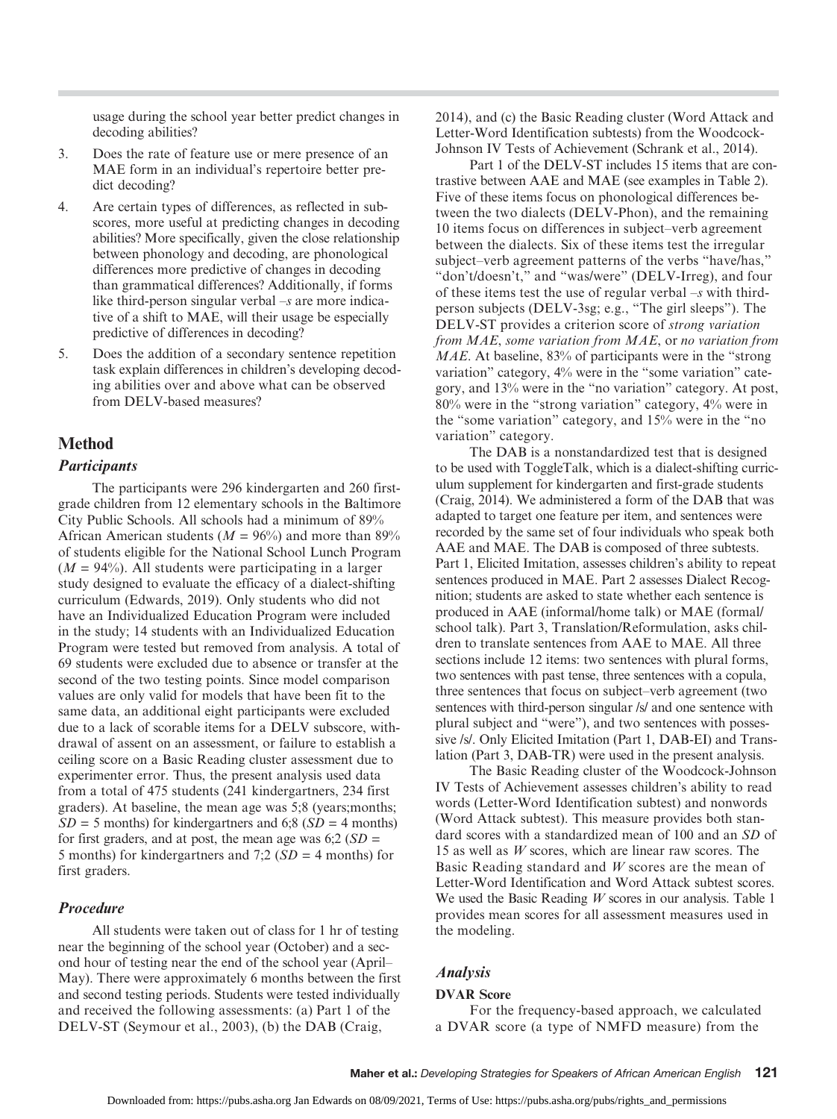usage during the school year better predict changes in decoding abilities?

- 3. Does the rate of feature use or mere presence of an MAE form in an individual's repertoire better predict decoding?
- 4. Are certain types of differences, as reflected in subscores, more useful at predicting changes in decoding abilities? More specifically, given the close relationship between phonology and decoding, are phonological differences more predictive of changes in decoding than grammatical differences? Additionally, if forms like third-person singular verbal  $-s$  are more indicative of a shift to MAE, will their usage be especially predictive of differences in decoding?
- 5. Does the addition of a secondary sentence repetition task explain differences in children's developing decoding abilities over and above what can be observed from DELV-based measures?

## Method

## **Participants**

The participants were 296 kindergarten and 260 firstgrade children from 12 elementary schools in the Baltimore City Public Schools. All schools had a minimum of 89% African American students ( $M = 96\%$ ) and more than 89% of students eligible for the National School Lunch Program  $(M = 94\%)$ . All students were participating in a larger study designed to evaluate the efficacy of a dialect-shifting curriculum (Edwards, 2019). Only students who did not have an Individualized Education Program were included in the study; 14 students with an Individualized Education Program were tested but removed from analysis. A total of 69 students were excluded due to absence or transfer at the second of the two testing points. Since model comparison values are only valid for models that have been fit to the same data, an additional eight participants were excluded due to a lack of scorable items for a DELV subscore, withdrawal of assent on an assessment, or failure to establish a ceiling score on a Basic Reading cluster assessment due to experimenter error. Thus, the present analysis used data from a total of 475 students (241 kindergartners, 234 first graders). At baseline, the mean age was 5;8 (years;months;  $SD = 5$  months) for kindergartners and 6;8 ( $SD = 4$  months) for first graders, and at post, the mean age was  $6:2(SD =$ 5 months) for kindergartners and 7;2 ( $SD = 4$  months) for first graders.

#### Procedure

All students were taken out of class for 1 hr of testing near the beginning of the school year (October) and a second hour of testing near the end of the school year (April– May). There were approximately 6 months between the first and second testing periods. Students were tested individually and received the following assessments: (a) Part 1 of the DELV-ST (Seymour et al., 2003), (b) the DAB (Craig,

2014), and (c) the Basic Reading cluster (Word Attack and Letter-Word Identification subtests) from the Woodcock-Johnson IV Tests of Achievement (Schrank et al., 2014).

Part 1 of the DELV-ST includes 15 items that are contrastive between AAE and MAE (see examples in Table 2). Five of these items focus on phonological differences between the two dialects (DELV-Phon), and the remaining 10 items focus on differences in subject–verb agreement between the dialects. Six of these items test the irregular subject–verb agreement patterns of the verbs "have/has," "don't/doesn't," and "was/were" (DELV-Irreg), and four of these items test the use of regular verbal  $-s$  with thirdperson subjects (DELV-3sg; e.g., "The girl sleeps"). The DELV-ST provides a criterion score of strong variation from MAE, some variation from MAE, or no variation from MAE. At baseline, 83% of participants were in the "strong" variation" category, 4% were in the "some variation" category, and 13% were in the "no variation" category. At post, 80% were in the "strong variation" category, 4% were in the "some variation" category, and 15% were in the "no variation" category.

The DAB is a nonstandardized test that is designed to be used with ToggleTalk, which is a dialect-shifting curriculum supplement for kindergarten and first-grade students (Craig, 2014). We administered a form of the DAB that was adapted to target one feature per item, and sentences were recorded by the same set of four individuals who speak both AAE and MAE. The DAB is composed of three subtests. Part 1, Elicited Imitation, assesses children's ability to repeat sentences produced in MAE. Part 2 assesses Dialect Recognition; students are asked to state whether each sentence is produced in AAE (informal/home talk) or MAE (formal/ school talk). Part 3, Translation/Reformulation, asks children to translate sentences from AAE to MAE. All three sections include 12 items: two sentences with plural forms, two sentences with past tense, three sentences with a copula, three sentences that focus on subject–verb agreement (two sentences with third-person singular /s/ and one sentence with plural subject and "were"), and two sentences with possessive /s/. Only Elicited Imitation (Part 1, DAB-EI) and Translation (Part 3, DAB-TR) were used in the present analysis.

The Basic Reading cluster of the Woodcock-Johnson IV Tests of Achievement assesses children's ability to read words (Letter-Word Identification subtest) and nonwords (Word Attack subtest). This measure provides both standard scores with a standardized mean of 100 and an SD of 15 as well as W scores, which are linear raw scores. The Basic Reading standard and  $W$  scores are the mean of Letter-Word Identification and Word Attack subtest scores. We used the Basic Reading W scores in our analysis. Table 1 provides mean scores for all assessment measures used in the modeling.

#### Analysis

#### DVAR Score

For the frequency-based approach, we calculated a DVAR score (a type of NMFD measure) from the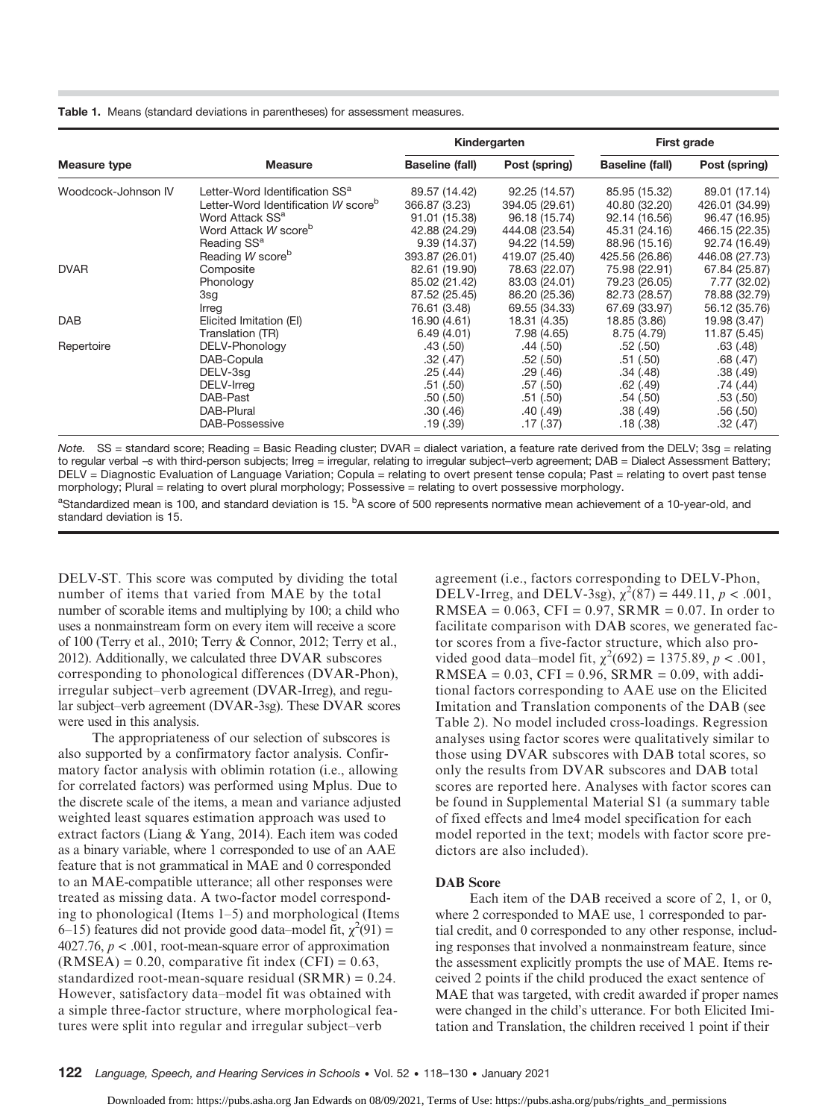Table 1. Means (standard deviations in parentheses) for assessment measures.

|                     |                                                 |                        | Kindergarten   | <b>First grade</b>     |                |  |
|---------------------|-------------------------------------------------|------------------------|----------------|------------------------|----------------|--|
| Measure type        | <b>Measure</b>                                  | <b>Baseline (fall)</b> | Post (spring)  | <b>Baseline (fall)</b> | Post (spring)  |  |
| Woodcock-Johnson IV | Letter-Word Identification SS <sup>a</sup>      | 89.57 (14.42)          | 92.25 (14.57)  | 85.95 (15.32)          | 89.01 (17.14)  |  |
|                     | Letter-Word Identification W score <sup>b</sup> | 366.87 (3.23)          | 394.05 (29.61) | 40.80 (32.20)          | 426.01 (34.99) |  |
|                     | Word Attack SS <sup>a</sup>                     | 91.01 (15.38)          | 96.18 (15.74)  | 92.14 (16.56)          | 96.47 (16.95)  |  |
|                     | Word Attack W score <sup>b</sup>                | 42.88 (24.29)          | 444.08 (23.54) | 45.31 (24.16)          | 466.15 (22.35) |  |
|                     | Reading SS <sup>a</sup>                         | 9.39(14.37)            | 94.22 (14.59)  | 88.96 (15.16)          | 92.74 (16.49)  |  |
|                     | Reading W score <sup>b</sup>                    | 393.87 (26.01)         | 419.07 (25.40) | 425.56 (26.86)         | 446.08 (27.73) |  |
| <b>DVAR</b>         | Composite                                       | 82.61 (19.90)          | 78.63 (22.07)  | 75.98 (22.91)          | 67.84 (25.87)  |  |
|                     | Phonology                                       | 85.02 (21.42)          | 83.03 (24.01)  | 79.23 (26.05)          | 7.77 (32.02)   |  |
|                     | 3sg                                             | 87.52 (25.45)          | 86.20 (25.36)  | 82.73 (28.57)          | 78.88 (32.79)  |  |
|                     | Irreg                                           | 76.61 (3.48)           | 69.55 (34.33)  | 67.69 (33.97)          | 56.12 (35.76)  |  |
| <b>DAB</b>          | Elicited Imitation (EI)                         | 16.90 (4.61)           | 18.31 (4.35)   | 18.85 (3.86)           | 19.98 (3.47)   |  |
|                     | Translation (TR)                                | 6.49(4.01)             | 7.98 (4.65)    | 8.75 (4.79)            | 11.87 (5.45)   |  |
| Repertoire          | DELV-Phonology                                  | .43(.50)               | .44(.50)       | .52(.50)               | .63(.48)       |  |
|                     | DAB-Copula                                      | .32(.47)               | .52(.50)       | .51(.50)               | .68(.47)       |  |
|                     | DELV-3sg                                        | .25(.44)               | .29(0.46)      | .34(.48)               | .38(.49)       |  |
|                     | DELV-Irreg                                      | .51(.50)               | .57(.50)       | .62(.49)               | .74 (.44)      |  |
|                     | DAB-Past                                        | .50(.50)               | .51(.50)       | .54(.50)               | .53(.50)       |  |
|                     | DAB-Plural                                      | .30(0.46)              | .40 (.49)      | .38(.49)               | .56(.50)       |  |
|                     | DAB-Possessive                                  | .19(0.39)              | .17(0.37)      | .18(.38)               | .32(.47)       |  |

Note. SS = standard score; Reading = Basic Reading cluster; DVAR = dialect variation, a feature rate derived from the DELV; 3sg = relating to regular verbal –s with third-person subjects; Irreg = irregular, relating to irregular subject–verb agreement; DAB = Dialect Assessment Battery; DELV = Diagnostic Evaluation of Language Variation; Copula = relating to overt present tense copula; Past = relating to overt past tense morphology; Plural = relating to overt plural morphology; Possessive = relating to overt possessive morphology.

<sup>a</sup>Standardized mean is 100, and standard deviation is 15. <sup>b</sup>A score of 500 represents normative mean achievement of a 10-year-old, and standard deviation is 15.

DELV-ST. This score was computed by dividing the total number of items that varied from MAE by the total number of scorable items and multiplying by 100; a child who uses a nonmainstream form on every item will receive a score of 100 (Terry et al., 2010; Terry & Connor, 2012; Terry et al., 2012). Additionally, we calculated three DVAR subscores corresponding to phonological differences (DVAR-Phon), irregular subject–verb agreement (DVAR-Irreg), and regular subject–verb agreement (DVAR-3sg). These DVAR scores were used in this analysis.

The appropriateness of our selection of subscores is also supported by a confirmatory factor analysis. Confirmatory factor analysis with oblimin rotation (i.e., allowing for correlated factors) was performed using Mplus. Due to the discrete scale of the items, a mean and variance adjusted weighted least squares estimation approach was used to extract factors (Liang & Yang, 2014). Each item was coded as a binary variable, where 1 corresponded to use of an AAE feature that is not grammatical in MAE and 0 corresponded to an MAE-compatible utterance; all other responses were treated as missing data. A two-factor model corresponding to phonological (Items 1–5) and morphological (Items 6–15) features did not provide good data–model fit,  $\chi^2(91)$  = 4027.76,  $p < .001$ , root-mean-square error of approximation  $(RMSEA) = 0.20$ , comparative fit index  $(CFI) = 0.63$ , standardized root-mean-square residual (SRMR) = 0.24. However, satisfactory data–model fit was obtained with a simple three-factor structure, where morphological features were split into regular and irregular subject–verb

agreement (i.e., factors corresponding to DELV-Phon, DELV-Irreg, and DELV-3sg),  $\chi^2(87) = 449.11$ ,  $p < .001$ ,  $RMSEA = 0.063$ , CFI = 0.97, SRMR = 0.07. In order to facilitate comparison with DAB scores, we generated factor scores from a five-factor structure, which also provided good data–model fit,  $\chi^2(692) = 1375.89, p < .001,$  $RMSEA = 0.03$ ,  $CFI = 0.96$ ,  $SRMR = 0.09$ , with additional factors corresponding to AAE use on the Elicited Imitation and Translation components of the DAB (see Table 2). No model included cross-loadings. Regression analyses using factor scores were qualitatively similar to those using DVAR subscores with DAB total scores, so only the results from DVAR subscores and DAB total scores are reported here. Analyses with factor scores can be found in Supplemental Material S1 (a summary table of fixed effects and lme4 model specification for each model reported in the text; models with factor score predictors are also included).

#### DAB Score

Each item of the DAB received a score of 2, 1, or 0, where 2 corresponded to MAE use, 1 corresponded to partial credit, and 0 corresponded to any other response, including responses that involved a nonmainstream feature, since the assessment explicitly prompts the use of MAE. Items received 2 points if the child produced the exact sentence of MAE that was targeted, with credit awarded if proper names were changed in the child's utterance. For both Elicited Imitation and Translation, the children received 1 point if their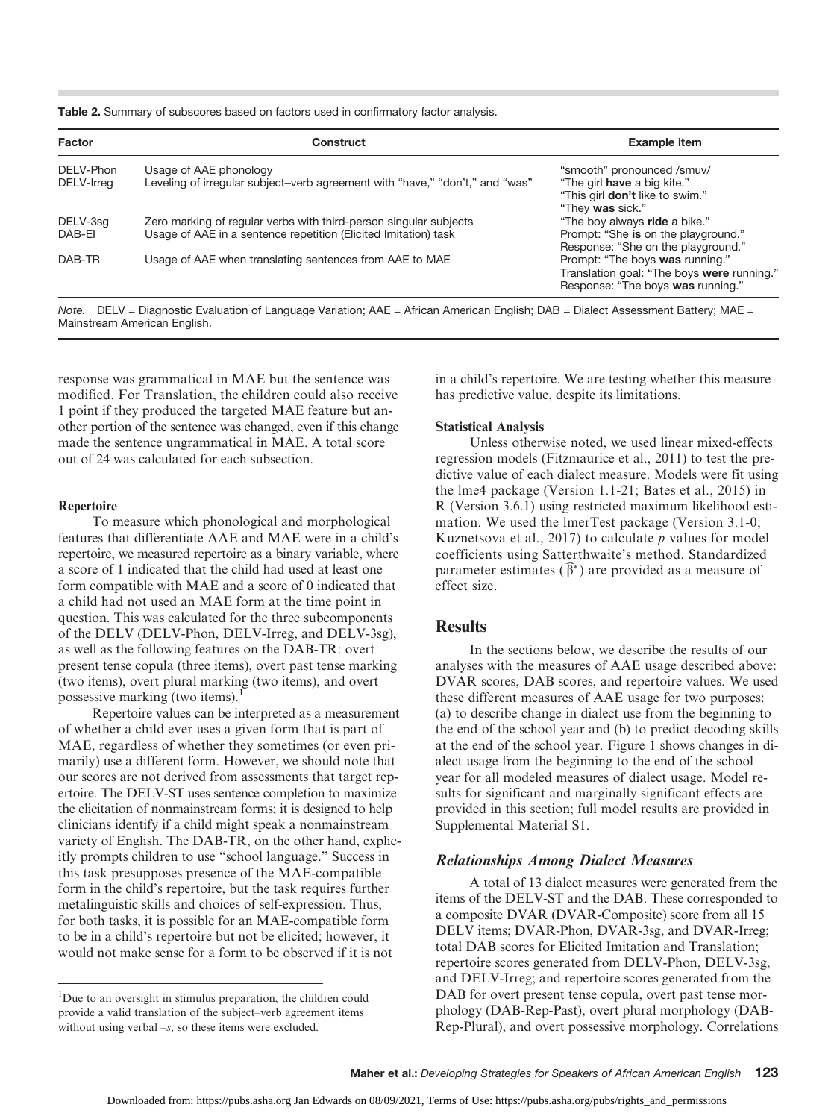Table 2. Summary of subscores based on factors used in confirmatory factor analysis.

| Factor                  | Construct                                                                                                                            | <b>Example item</b>                                                                                                |  |  |
|-------------------------|--------------------------------------------------------------------------------------------------------------------------------------|--------------------------------------------------------------------------------------------------------------------|--|--|
| DELV-Phon<br>DELV-Irreg | Usage of AAE phonology<br>Leveling of irregular subject–verb agreement with "have," "don't," and "was"                               | "smooth" pronounced /smuv/<br>"The girl have a big kite."<br>"This girl don't like to swim."<br>"They was sick."   |  |  |
| DELV-3sg<br>DAB-EI      | Zero marking of regular verbs with third-person singular subjects<br>Usage of AAE in a sentence repetition (Elicited Imitation) task | "The boy always ride a bike."<br>Prompt: "She is on the playground."<br>Response: "She on the playground."         |  |  |
| DAB-TR                  | Usage of AAE when translating sentences from AAE to MAE                                                                              | Prompt: "The boys was running."<br>Translation goal: "The boys were running."<br>Response: "The boys was running." |  |  |

Note. DELV = Diagnostic Evaluation of Language Variation; AAE = African American English; DAB = Dialect Assessment Battery; MAE = Mainstream American English.

response was grammatical in MAE but the sentence was modified. For Translation, the children could also receive 1 point if they produced the targeted MAE feature but another portion of the sentence was changed, even if this change made the sentence ungrammatical in MAE. A total score out of 24 was calculated for each subsection.

#### Repertoire

To measure which phonological and morphological features that differentiate AAE and MAE were in a child's repertoire, we measured repertoire as a binary variable, where a score of 1 indicated that the child had used at least one form compatible with MAE and a score of 0 indicated that a child had not used an MAE form at the time point in question. This was calculated for the three subcomponents of the DELV (DELV-Phon, DELV-Irreg, and DELV-3sg), as well as the following features on the DAB-TR: overt present tense copula (three items), overt past tense marking (two items), overt plural marking (two items), and overt possessive marking (two items).<sup>1</sup>

Repertoire values can be interpreted as a measurement of whether a child ever uses a given form that is part of MAE, regardless of whether they sometimes (or even primarily) use a different form. However, we should note that our scores are not derived from assessments that target repertoire. The DELV-ST uses sentence completion to maximize the elicitation of nonmainstream forms; it is designed to help clinicians identify if a child might speak a nonmainstream variety of English. The DAB-TR, on the other hand, explicitly prompts children to use "school language." Success in this task presupposes presence of the MAE-compatible form in the child's repertoire, but the task requires further metalinguistic skills and choices of self-expression. Thus, for both tasks, it is possible for an MAE-compatible form to be in a child's repertoire but not be elicited; however, it would not make sense for a form to be observed if it is not

in a child's repertoire. We are testing whether this measure has predictive value, despite its limitations.

#### Statistical Analysis

Unless otherwise noted, we used linear mixed-effects regression models (Fitzmaurice et al., 2011) to test the predictive value of each dialect measure. Models were fit using the lme4 package (Version 1.1-21; Bates et al., 2015) in R (Version 3.6.1) using restricted maximum likelihood estimation. We used the lmerTest package (Version 3.1-0; Kuznetsova et al., 2017) to calculate  $p$  values for model coefficients using Satterthwaite's method. Standardized parameter estimates  $(\widehat{\beta}^*)$  are provided as a measure of parameter estimates  $(\vec{\beta}^*)$  are provided as a measure of effect size.

### **Results**

In the sections below, we describe the results of our analyses with the measures of AAE usage described above: DVAR scores, DAB scores, and repertoire values. We used these different measures of AAE usage for two purposes: (a) to describe change in dialect use from the beginning to the end of the school year and (b) to predict decoding skills at the end of the school year. Figure 1 shows changes in dialect usage from the beginning to the end of the school year for all modeled measures of dialect usage. Model results for significant and marginally significant effects are provided in this section; full model results are provided in Supplemental Material S1.

#### Relationships Among Dialect Measures

A total of 13 dialect measures were generated from the items of the DELV-ST and the DAB. These corresponded to a composite DVAR (DVAR-Composite) score from all 15 DELV items; DVAR-Phon, DVAR-3sg, and DVAR-Irreg; total DAB scores for Elicited Imitation and Translation; repertoire scores generated from DELV-Phon, DELV-3sg, and DELV-Irreg; and repertoire scores generated from the DAB for overt present tense copula, overt past tense morphology (DAB-Rep-Past), overt plural morphology (DAB-Rep-Plural), and overt possessive morphology. Correlations

<sup>&</sup>lt;sup>1</sup>Due to an oversight in stimulus preparation, the children could provide a valid translation of the subject–verb agreement items without using verbal  $-s$ , so these items were excluded.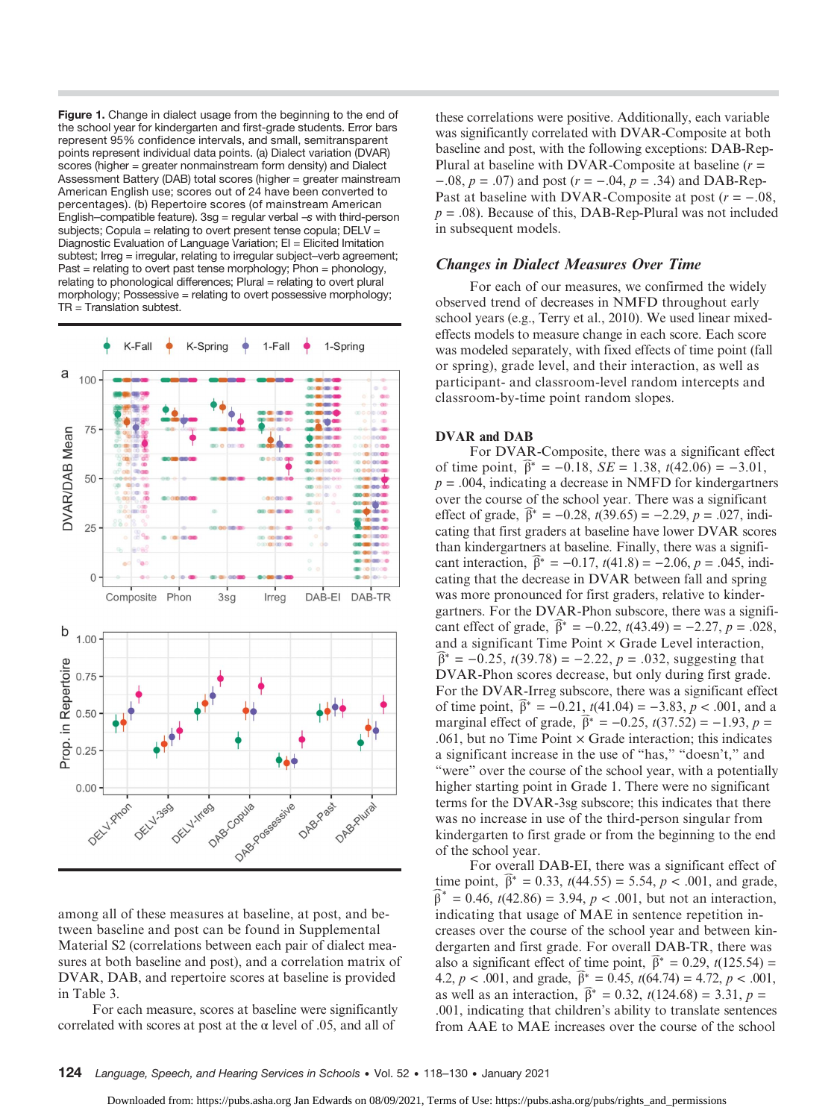Figure 1. Change in dialect usage from the beginning to the end of the school year for kindergarten and first-grade students. Error bars represent 95% confidence intervals, and small, semitransparent points represent individual data points. (a) Dialect variation (DVAR) scores (higher = greater nonmainstream form density) and Dialect Assessment Battery (DAB) total scores (higher = greater mainstream American English use; scores out of 24 have been converted to percentages). (b) Repertoire scores (of mainstream American English–compatible feature).  $3sg$  = regular verbal  $-s$  with third-person subjects; Copula = relating to overt present tense copula; DELV = Diagnostic Evaluation of Language Variation; EI = Elicited Imitation subtest; Irreg = irregular, relating to irregular subject-verb agreement; Past = relating to overt past tense morphology; Phon = phonology, relating to phonological differences; Plural = relating to overt plural morphology; Possessive = relating to overt possessive morphology; TR = Translation subtest.



among all of these measures at baseline, at post, and between baseline and post can be found in Supplemental Material S2 (correlations between each pair of dialect measures at both baseline and post), and a correlation matrix of DVAR, DAB, and repertoire scores at baseline is provided in Table 3.

For each measure, scores at baseline were significantly correlated with scores at post at the  $\alpha$  level of .05, and all of

these correlations were positive. Additionally, each variable was significantly correlated with DVAR-Composite at both baseline and post, with the following exceptions: DAB-Rep-Plural at baseline with DVAR-Composite at baseline  $(r =$  $-0.08$ ,  $p = 0.07$ ) and post ( $r = -0.04$ ,  $p = 0.34$ ) and DAB-Rep-Past at baseline with DVAR-Composite at post  $(r = -.08,$  $p = .08$ ). Because of this, DAB-Rep-Plural was not included in subsequent models.

## Changes in Dialect Measures Over Time

For each of our measures, we confirmed the widely observed trend of decreases in NMFD throughout early school years (e.g., Terry et al., 2010). We used linear mixedeffects models to measure change in each score. Each score was modeled separately, with fixed effects of time point (fall or spring), grade level, and their interaction, as well as participant- and classroom-level random intercepts and classroom-by-time point random slopes.

#### DVAR and DAB

For DVAR-Composite, there was a significant effect For DVAR-Composite, there was a significant effect<br>of time point,  $\hat{\beta}^* = -0.18$ ,  $SE = 1.38$ ,  $t(42.06) = -3.01$ ,  $p = .004$ , indicating a decrease in NMFD for kindergartners over the course of the school year. There was a significant effect of grade,  $\hat{\beta}^* = -0.28$ ,  $t(39.65) = -2.29$ ,  $p = .027$ , ind. effect of grade,  $\hat{\beta}^* = -0.28$ ,  $t(39.65) = -2.29$ ,  $p = .027$ , indicating that first graders at baseline have lower DVAR scores than kindergartners at baseline. Finally, there was a significant interaction,  $\hat{\beta}^* = -0.17$ ,  $t(41.8) = -2.06$ ,  $p = .045$ , indi cant interaction,  $\bar{\beta}^* = -0.17$ ,  $t(41.8) = -2.06$ ,  $p = .045$ , indicating that the decrease in DVAR between fall and spring was more pronounced for first graders, relative to kindergartners. For the DVAR-Phon subscore, there was a signifigartners. For the DVAR-Phon subscore, there was a significant effect of grade,  $\hat{\beta}^* = -0.22$ ,  $t(43.49) = -2.27$ ,  $p = .028$ , and a significant Time Point  $\times$  Grade Level interaction,  $\widehat{\beta}^* = -0.25$ ,  $t(39.78) = -2.22$ ,  $p = .032$ , suggesting that DVAR-Phon scores decrease, but only during first grade. For the DVAR-Irreg subscore, there was a significant effect of time point,  $\hat{\beta}^* = -0.21$ ,  $t(41.04) = -3.83$ ,  $p < .001$ , and a of time point,  $\hat{\beta}^* = -0.21$ ,  $t(41.04) = -3.83$ ,  $p < .001$ , and a marginal effect of grade,  $\hat{\beta}^* = -0.25$ ,  $t(37.52) = -1.93$ ,  $p =$ marginal effect of grade,  $\hat{\beta}^* = -0.25$ ,  $t(37.52) = -1.93$ ,  $p =$ .061, but no Time Point  $\times$  Grade interaction; this indicates a significant increase in the use of "has," "doesn't," and "were" over the course of the school year, with a potentially higher starting point in Grade 1. There were no significant terms for the DVAR-3sg subscore; this indicates that there was no increase in use of the third-person singular from kindergarten to first grade or from the beginning to the end of the school year.

For overall DAB-EI, there was a significant effect of For over-<br>For over-<br>time point,  $\hat{\beta}$ ime point,  $\hat{\beta}^* = 0.33$ ,  $t(44.55) = 5.54$ ,  $p < .001$ , and grade,  $^* = 0.46$ .  $t(42.86) = 3.94$ .  $p < .001$ , but not an interaction.  $\beta^* = 0.46$ ,  $t(42.86) = 3.94$ ,  $p < .001$ , but not an interaction, indicating that usage of MAE in sentence repetition increases over the course of the school year and between kindergarten and first grade. For overall DAB-TR, there was also a significant effect of time point,  $\hat{\beta}^* = 0.29$ ,  $t(125.54)$ also a significant effect of time point,  $\hat{\beta}^* = 0.29$ ,  $t(125.54) =$ also a significant effect of time point,  $\hat{\beta}^* = 0.29$ ,  $t(125.54) = 4.2$ ,  $p < .001$ , and grade,  $\hat{\beta}^* = 0.45$ ,  $t(64.74) = 4.72$ ,  $p < .001$ , 4.2,  $p < .001$ , and grade,  $\hat{\beta}^* = 0.45$ ,  $t(64.74) = 4.72$ ,  $p < .00$  as well as an interaction,  $\hat{\beta}^* = 0.32$ ,  $t(124.68) = 3.31$ ,  $p =$ .001, indicating that children's ability to translate sentences from AAE to MAE increases over the course of the school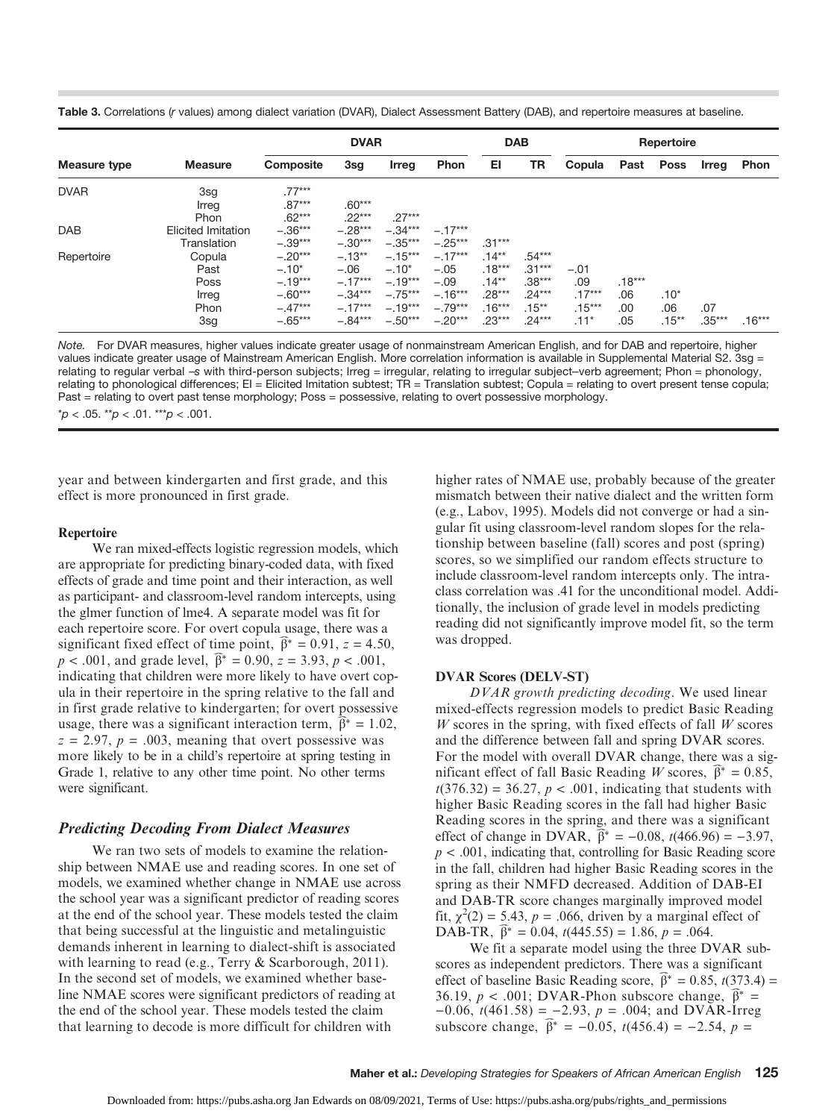| Table 3. Correlations (r values) among dialect variation (DVAR), Dialect Assessment Battery (DAB), and repertoire measures at baseline. |  |  |  |  |  |  |  |  |  |  |
|-----------------------------------------------------------------------------------------------------------------------------------------|--|--|--|--|--|--|--|--|--|--|
|-----------------------------------------------------------------------------------------------------------------------------------------|--|--|--|--|--|--|--|--|--|--|

|              | <b>DVAR</b>                                    |                                                                          |                                                                        |                                                                          | <b>DAB</b>                                                           |                                                                      | Repertoire                                                           |                                                 |                               |                           |                 |          |
|--------------|------------------------------------------------|--------------------------------------------------------------------------|------------------------------------------------------------------------|--------------------------------------------------------------------------|----------------------------------------------------------------------|----------------------------------------------------------------------|----------------------------------------------------------------------|-------------------------------------------------|-------------------------------|---------------------------|-----------------|----------|
| Measure type | <b>Measure</b>                                 | Composite                                                                | 3sg                                                                    | Irreg                                                                    | Phon                                                                 | EI                                                                   | TR                                                                   | Copula                                          | Past                          | <b>Poss</b>               | Irreg           | Phon     |
| <b>DVAR</b>  | 3sg<br>Irreg<br>Phon                           | $.77***$<br>$.87***$<br>$.62***$                                         | $.60***$<br>$.22***$                                                   | $.27***$                                                                 |                                                                      |                                                                      |                                                                      |                                                 |                               |                           |                 |          |
| <b>DAB</b>   | <b>Elicited Imitation</b><br>Translation       | $-.36***$<br>$-.39***$                                                   | $-.28***$<br>$-.30***$                                                 | $-.34***$<br>$-.35***$                                                   | $-.17***$<br>$-.25***$                                               | $.31***$                                                             |                                                                      |                                                 |                               |                           |                 |          |
| Repertoire   | Copula<br>Past<br>Poss<br>Irreg<br>Phon<br>3sg | $-.20***$<br>$-.10*$<br>$-.19***$<br>$-.60***$<br>$-.47***$<br>$-.65***$ | $-.13**$<br>$-.06$<br>$-.17***$<br>$-.34***$<br>$-.17***$<br>$-.84***$ | $-.15***$<br>$-.10*$<br>$-.19***$<br>$-.75***$<br>$-.19***$<br>$-.50***$ | $-.17***$<br>$-.05$<br>$-.09$<br>$-.16***$<br>$-.79***$<br>$-.20***$ | $.14***$<br>$.18***$<br>$.14***$<br>$.28***$<br>$.16***$<br>$.23***$ | $.54***$<br>$.31***$<br>$.38***$<br>$.24***$<br>$.15***$<br>$.24***$ | $-.01$<br>.09<br>$.17***$<br>$.15***$<br>$.11*$ | $.18***$<br>.06<br>.00<br>.05 | $.10*$<br>.06<br>$.15***$ | .07<br>$.35***$ | $.16***$ |

Note. For DVAR measures, higher values indicate greater usage of nonmainstream American English, and for DAB and repertoire, higher values indicate greater usage of Mainstream American English. More correlation information is available in Supplemental Material S2. 3sg = relating to regular verbal –s with third-person subjects; Irreg = irregular, relating to irregular subject–verb agreement; Phon = phonology, relating to phonological differences; EI = Elicited Imitation subtest; TR = Translation subtest; Copula = relating to overt present tense copula; Past = relating to overt past tense morphology; Poss = possessive, relating to overt possessive morphology.

 $p < .05$ . \*\*p  $< .01$ . \*\*\*p  $< .001$ .

year and between kindergarten and first grade, and this effect is more pronounced in first grade.

#### **Repertoire**

We ran mixed-effects logistic regression models, which are appropriate for predicting binary-coded data, with fixed effects of grade and time point and their interaction, as well as participant- and classroom-level random intercepts, using the glmer function of lme4. A separate model was fit for each repertoire score. For overt copula usage, there was a each repertoire score. For overt copula usage, there was a significant fixed effect of time point,  $\hat{\beta}^* = 0.91$ ,  $z = 4.50$ ,  $p < .001$ , and grade level,  $\hat{\beta}^* = 0.90$ ,  $z = 3.93$ ,  $p < .001$ ,  $p < .001$ , and grade level,  $\hat{\beta}^* = 0.90$ ,  $z = 3.93$ ,  $p < .001$ , indicating that children were more likely to have overt copula in their repertoire in the spring relative to the fall and in first grade relative to kindergarten; for overt possessive in first grade relative to kindergarten; for overt possessive usage, there was a significant interaction term,  $\hat{\beta}^* = 1.02$ ,  $z = 2.97$ ,  $p = .003$ , meaning that overt possessive was more likely to be in a child's repertoire at spring testing in Grade 1, relative to any other time point. No other terms were significant.

#### Predicting Decoding From Dialect Measures

We ran two sets of models to examine the relationship between NMAE use and reading scores. In one set of models, we examined whether change in NMAE use across the school year was a significant predictor of reading scores at the end of the school year. These models tested the claim that being successful at the linguistic and metalinguistic demands inherent in learning to dialect-shift is associated with learning to read (e.g., Terry & Scarborough, 2011). In the second set of models, we examined whether baseline NMAE scores were significant predictors of reading at the end of the school year. These models tested the claim that learning to decode is more difficult for children with

higher rates of NMAE use, probably because of the greater mismatch between their native dialect and the written form (e.g., Labov, 1995). Models did not converge or had a singular fit using classroom-level random slopes for the relationship between baseline (fall) scores and post (spring) scores, so we simplified our random effects structure to include classroom-level random intercepts only. The intraclass correlation was .41 for the unconditional model. Additionally, the inclusion of grade level in models predicting reading did not significantly improve model fit, so the term was dropped.

#### DVAR Scores (DELV-ST)

DVAR growth predicting decoding. We used linear mixed-effects regression models to predict Basic Reading  $W$  scores in the spring, with fixed effects of fall  $W$  scores and the difference between fall and spring DVAR scores. For the model with overall DVAR change, there was a sig-For the model with overall DVAR change, there was a significant effect of fall Basic Reading W scores,  $\hat{\beta}^* = 0.85$ ,  $t(376.32) = 36.27$ ,  $p < .001$ , indicating that students with higher Basic Reading scores in the fall had higher Basic Reading scores in the spring, and there was a significant Reading scores in the spring, and there was a significant effect of change in DVAR,  $\hat{\beta}^* = -0.08$ ,  $t(466.96) = -3.97$ ,  $p < .001$ , indicating that, controlling for Basic Reading score in the fall, children had higher Basic Reading scores in the spring as their NMFD decreased. Addition of DAB-EI and DAB-TR score changes marginally improved model fit,  $\chi^2(2) = 5.43$ ,  $p = .066$ , driven by a marginal effect of fit,  $\chi^2(2) = 5.43$ ,  $p = .066$ , driven by a marginal DAB-TR,  $\hat{\beta}^* = 0.04$ ,  $t(445.55) = 1.86$ ,  $p = .064$ .

We fit a separate model using the three DVAR subscores as independent predictors. There was a significant effect of baseline Basic Reading score,  $\hat{\beta}^* = 0.85$ , *t*(373.4) effect of baseline Basic Reading score,  $\hat{\beta}^* = 0.85$ ,  $t(373.4) =$ effect of baseline Basic Reading score,  $\hat{\beta}^* = 0.85$ , t(373.4 36.19,  $p < .001$ ; DVAR-Phon subscore change,  $\hat{\beta}^* =$  $-0.06$ ,  $t(461.58) = -2.93$ ,  $p = .004$ ; and DVAR-Irreg  $-0.06$ ,  $t(461.58) = -2.93$ ,  $p = .004$ ; and DVAR-Irre<br>subscore change,  $\hat{\beta}^* = -0.05$ ,  $t(456.4) = -2.54$ ,  $p =$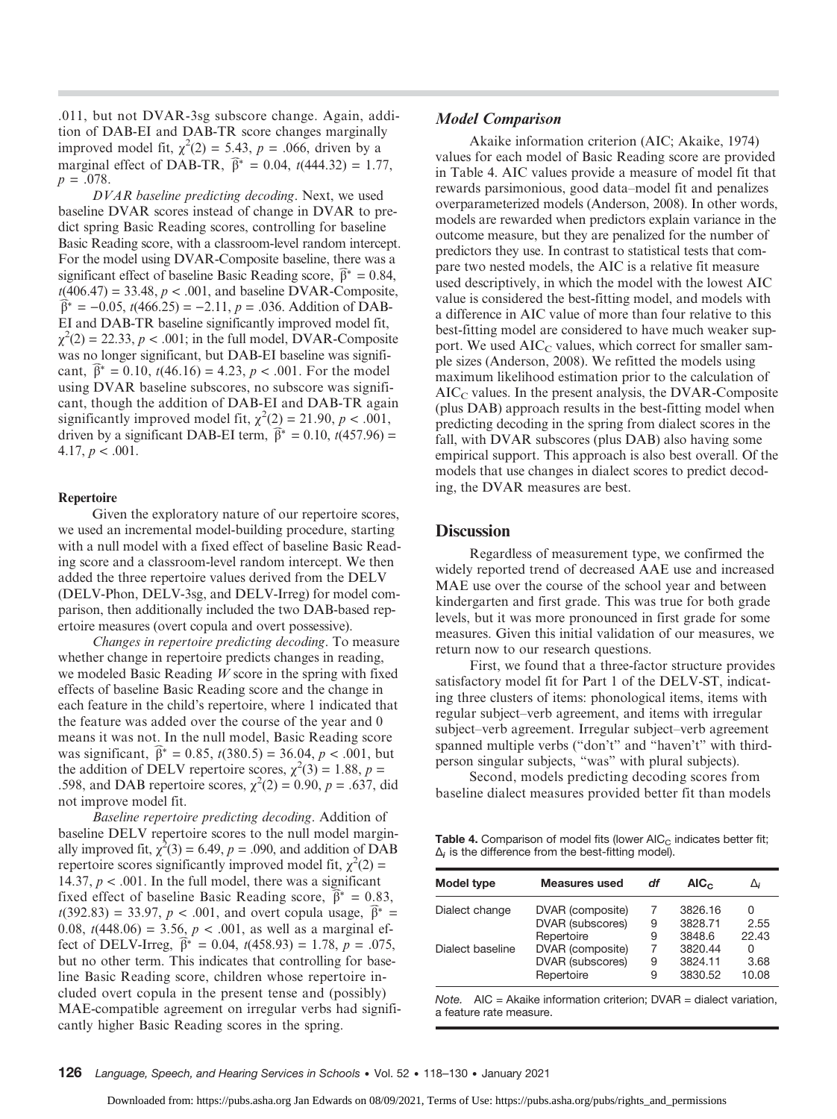.011, but not DVAR-3sg subscore change. Again, addition of DAB-EI and DAB-TR score changes marginally improved model fit,  $\chi^2(2) = 5.43$ ,  $p = .066$ , driven by a marginal effect of DAB-TR,  $\hat{\beta}^* = 0.04$ ,  $t(444.32) = 1.7$ marginal effect of DAB-TR,  $\hat{\beta}^* = 0.04$ ,  $t(444.32) = 1.77$ ,  $p = .078$ .

DVAR baseline predicting decoding. Next, we used baseline DVAR scores instead of change in DVAR to predict spring Basic Reading scores, controlling for baseline Basic Reading score, with a classroom-level random intercept. For the model using DVAR-Composite baseline, there was a significant effect of baseline Basic Reading score,  $\hat{\beta}^* = 0.84$ , significant effect of baseline Basic Reading score,  $\hat{\beta}^* = 0.84$ ,  $t(406.47) = 33.48$ ,  $p < .001$ , and baseline DVAR-Composite,  $\widehat{\beta}^* = -0.05$ ,  $t(466.25) = -2.11$ ,  $p = .036$ . Addition of DAB-EI and DAB-TR baseline significantly improved model fit,  $\chi^2(2) = 22.33, p < .001$ ; in the full model, DVAR-Composite was no longer significant, but DAB-EI baseline was signifiwas no longer significant, but DAB-EI baseline was significant,  $\hat{\beta}^* = 0.10$ ,  $t(46.16) = 4.23$ ,  $p < .001$ . For the model using DVAR baseline subscores, no subscore was significant, though the addition of DAB-EI and DAB-TR again significantly improved model fit,  $\chi^2(2) = 21.90$ ,  $p < .001$ , driven by a significant DAB-EI term,  $\hat{\beta}^* = 0.10$ ,  $t(457.96)$ driven by a significant DAB-EI term,  $\hat{\beta}^* = 0.10$ ,  $t(457.96) =$ 4.17,  $p < .001$ .

#### Repertoire

Given the exploratory nature of our repertoire scores, we used an incremental model-building procedure, starting with a null model with a fixed effect of baseline Basic Reading score and a classroom-level random intercept. We then added the three repertoire values derived from the DELV (DELV-Phon, DELV-3sg, and DELV-Irreg) for model comparison, then additionally included the two DAB-based repertoire measures (overt copula and overt possessive).

Changes in repertoire predicting decoding. To measure whether change in repertoire predicts changes in reading, we modeled Basic Reading  $W$  score in the spring with fixed effects of baseline Basic Reading score and the change in each feature in the child's repertoire, where 1 indicated that the feature was added over the course of the year and 0 means it was not. In the null model, Basic Reading score<br>was significant,  $\hat{\beta}^* = 0.85$ ,  $t(380.5) = 36.04$ ,  $p < .001$ , but was significant,  $\hat{\beta}^* = 0.85$ ,  $t(380.5) = 36.04$ ,  $p < .001$ , but the addition of DELV repertoire scores,  $\chi^2(3) = 1.88$ ,  $p =$ .598, and DAB repertoire scores,  $\chi^2(2) = 0.90$ ,  $p = .637$ , did not improve model fit.

Baseline repertoire predicting decoding. Addition of baseline DELV repertoire scores to the null model marginally improved fit,  $\chi^2(3) = 6.49$ ,  $p = .090$ , and addition of DAB repertoire scores significantly improved model fit,  $\chi^2(2)$  = 14.37,  $p < .001$ . In the full model, there was a significant fixed effect of baseline Basic Reading score,  $\hat{\beta}^* = 0.8$ fixed effect of baseline Basic Reading score,  $\hat{\beta}^* = 0.83$ ,  $t(392.83) = 33.97$ ,  $p < .001$ , and overt copula usage,  $\hat{\beta}^* = 0$  $t(392.83) = 33.97$ ,  $p < .001$ , and overt copula usage,  $\beta^* =$ 0.08,  $t(448.06) = 3.56$ ,  $p < .001$ , as well as a marginal effect of DELV-Irreg,  $\hat{\beta}^* = 0.04$ ,  $t(458.93) = 1.78$ ,  $p = .075$ fect of DELV-Irreg,  $\hat{\beta}^* = 0.04$ ,  $t(458.93) = 1.78$ ,  $p = .075$ , but no other term. This indicates that controlling for baseline Basic Reading score, children whose repertoire included overt copula in the present tense and (possibly) MAE-compatible agreement on irregular verbs had significantly higher Basic Reading scores in the spring.

#### Model Comparison

Akaike information criterion (AIC; Akaike, 1974) values for each model of Basic Reading score are provided in Table 4. AIC values provide a measure of model fit that rewards parsimonious, good data–model fit and penalizes overparameterized models (Anderson, 2008). In other words, models are rewarded when predictors explain variance in the outcome measure, but they are penalized for the number of predictors they use. In contrast to statistical tests that compare two nested models, the AIC is a relative fit measure used descriptively, in which the model with the lowest AIC value is considered the best-fitting model, and models with a difference in AIC value of more than four relative to this best-fitting model are considered to have much weaker support. We used  $AIC<sub>C</sub>$  values, which correct for smaller sample sizes (Anderson, 2008). We refitted the models using maximum likelihood estimation prior to the calculation of  $AIC<sub>C</sub>$  values. In the present analysis, the DVAR-Composite (plus DAB) approach results in the best-fitting model when predicting decoding in the spring from dialect scores in the fall, with DVAR subscores (plus DAB) also having some empirical support. This approach is also best overall. Of the models that use changes in dialect scores to predict decoding, the DVAR measures are best.

#### **Discussion**

Regardless of measurement type, we confirmed the widely reported trend of decreased AAE use and increased MAE use over the course of the school year and between kindergarten and first grade. This was true for both grade levels, but it was more pronounced in first grade for some measures. Given this initial validation of our measures, we return now to our research questions.

First, we found that a three-factor structure provides satisfactory model fit for Part 1 of the DELV-ST, indicating three clusters of items: phonological items, items with regular subject–verb agreement, and items with irregular subject–verb agreement. Irregular subject–verb agreement spanned multiple verbs ("don't" and "haven't" with thirdperson singular subjects, "was" with plural subjects).

Second, models predicting decoding scores from baseline dialect measures provided better fit than models

Table 4. Comparison of model fits (lower  $AIC_C$  indicates better fit;  $\Delta_i$  is the difference from the best-fitting model).

| <b>Model type</b> | <b>Measures used</b> | df | AIC <sub>c</sub> | Δi    |  |
|-------------------|----------------------|----|------------------|-------|--|
| Dialect change    | DVAR (composite)     | 7  | 3826.16          | Ω     |  |
|                   | DVAR (subscores)     | 9  | 3828.71          | 2.55  |  |
|                   | Repertoire           | 9  | 3848.6           | 22.43 |  |
| Dialect baseline  | DVAR (composite)     | 7  | 3820.44          | 0     |  |
|                   | DVAR (subscores)     | 9  | 3824.11          | 3.68  |  |
|                   | Repertoire           | 9  | 3830.52          | 10.08 |  |

Note.  $AIC = Akaike information criterion$ ; DVAR = dialect variation, a feature rate measure.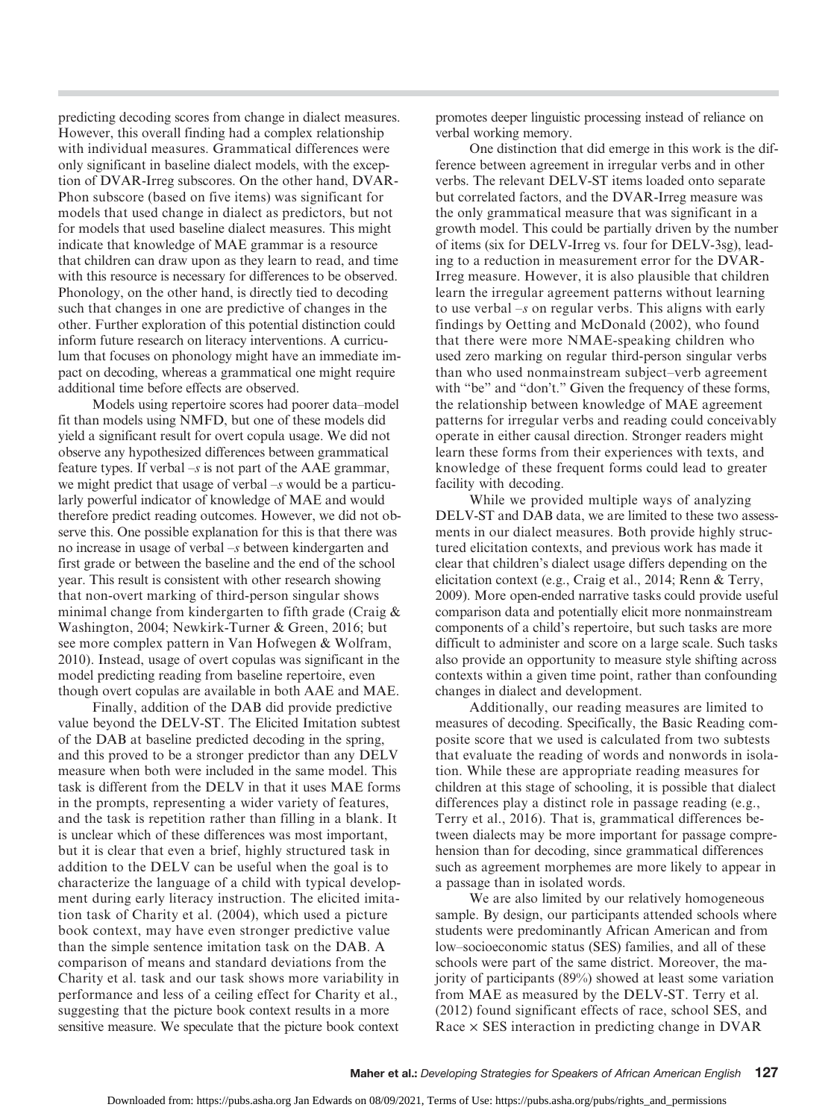predicting decoding scores from change in dialect measures. However, this overall finding had a complex relationship with individual measures. Grammatical differences were only significant in baseline dialect models, with the exception of DVAR-Irreg subscores. On the other hand, DVAR-Phon subscore (based on five items) was significant for models that used change in dialect as predictors, but not for models that used baseline dialect measures. This might indicate that knowledge of MAE grammar is a resource that children can draw upon as they learn to read, and time with this resource is necessary for differences to be observed. Phonology, on the other hand, is directly tied to decoding such that changes in one are predictive of changes in the other. Further exploration of this potential distinction could inform future research on literacy interventions. A curriculum that focuses on phonology might have an immediate impact on decoding, whereas a grammatical one might require additional time before effects are observed.

Models using repertoire scores had poorer data–model fit than models using NMFD, but one of these models did yield a significant result for overt copula usage. We did not observe any hypothesized differences between grammatical feature types. If verbal  $-s$  is not part of the AAE grammar, we might predict that usage of verbal –s would be a particularly powerful indicator of knowledge of MAE and would therefore predict reading outcomes. However, we did not observe this. One possible explanation for this is that there was no increase in usage of verbal –s between kindergarten and first grade or between the baseline and the end of the school year. This result is consistent with other research showing that non-overt marking of third-person singular shows minimal change from kindergarten to fifth grade (Craig & Washington, 2004; Newkirk-Turner & Green, 2016; but see more complex pattern in Van Hofwegen & Wolfram, 2010). Instead, usage of overt copulas was significant in the model predicting reading from baseline repertoire, even though overt copulas are available in both AAE and MAE.

Finally, addition of the DAB did provide predictive value beyond the DELV-ST. The Elicited Imitation subtest of the DAB at baseline predicted decoding in the spring, and this proved to be a stronger predictor than any DELV measure when both were included in the same model. This task is different from the DELV in that it uses MAE forms in the prompts, representing a wider variety of features, and the task is repetition rather than filling in a blank. It is unclear which of these differences was most important, but it is clear that even a brief, highly structured task in addition to the DELV can be useful when the goal is to characterize the language of a child with typical development during early literacy instruction. The elicited imitation task of Charity et al. (2004), which used a picture book context, may have even stronger predictive value than the simple sentence imitation task on the DAB. A comparison of means and standard deviations from the Charity et al. task and our task shows more variability in performance and less of a ceiling effect for Charity et al., suggesting that the picture book context results in a more sensitive measure. We speculate that the picture book context

promotes deeper linguistic processing instead of reliance on verbal working memory.

One distinction that did emerge in this work is the difference between agreement in irregular verbs and in other verbs. The relevant DELV-ST items loaded onto separate but correlated factors, and the DVAR-Irreg measure was the only grammatical measure that was significant in a growth model. This could be partially driven by the number of items (six for DELV-Irreg vs. four for DELV-3sg), leading to a reduction in measurement error for the DVAR-Irreg measure. However, it is also plausible that children learn the irregular agreement patterns without learning to use verbal  $-s$  on regular verbs. This aligns with early findings by Oetting and McDonald (2002), who found that there were more NMAE-speaking children who used zero marking on regular third-person singular verbs than who used nonmainstream subject–verb agreement with "be" and "don't." Given the frequency of these forms, the relationship between knowledge of MAE agreement patterns for irregular verbs and reading could conceivably operate in either causal direction. Stronger readers might learn these forms from their experiences with texts, and knowledge of these frequent forms could lead to greater facility with decoding.

While we provided multiple ways of analyzing DELV-ST and DAB data, we are limited to these two assessments in our dialect measures. Both provide highly structured elicitation contexts, and previous work has made it clear that children's dialect usage differs depending on the elicitation context (e.g., Craig et al., 2014; Renn & Terry, 2009). More open-ended narrative tasks could provide useful comparison data and potentially elicit more nonmainstream components of a child's repertoire, but such tasks are more difficult to administer and score on a large scale. Such tasks also provide an opportunity to measure style shifting across contexts within a given time point, rather than confounding changes in dialect and development.

Additionally, our reading measures are limited to measures of decoding. Specifically, the Basic Reading composite score that we used is calculated from two subtests that evaluate the reading of words and nonwords in isolation. While these are appropriate reading measures for children at this stage of schooling, it is possible that dialect differences play a distinct role in passage reading (e.g., Terry et al., 2016). That is, grammatical differences between dialects may be more important for passage comprehension than for decoding, since grammatical differences such as agreement morphemes are more likely to appear in a passage than in isolated words.

We are also limited by our relatively homogeneous sample. By design, our participants attended schools where students were predominantly African American and from low–socioeconomic status (SES) families, and all of these schools were part of the same district. Moreover, the majority of participants (89%) showed at least some variation from MAE as measured by the DELV-ST. Terry et al. (2012) found significant effects of race, school SES, and Race  $\times$  SES interaction in predicting change in DVAR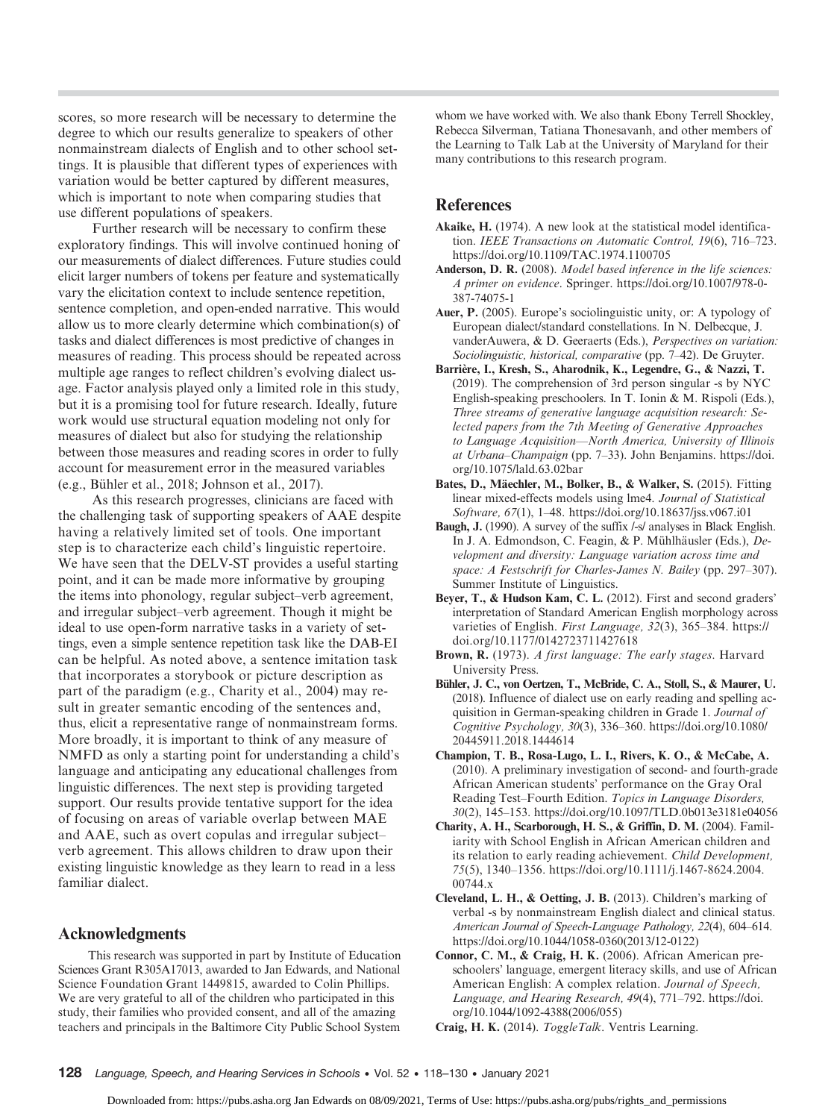scores, so more research will be necessary to determine the degree to which our results generalize to speakers of other nonmainstream dialects of English and to other school settings. It is plausible that different types of experiences with variation would be better captured by different measures, which is important to note when comparing studies that use different populations of speakers.

Further research will be necessary to confirm these exploratory findings. This will involve continued honing of our measurements of dialect differences. Future studies could elicit larger numbers of tokens per feature and systematically vary the elicitation context to include sentence repetition, sentence completion, and open-ended narrative. This would allow us to more clearly determine which combination(s) of tasks and dialect differences is most predictive of changes in measures of reading. This process should be repeated across multiple age ranges to reflect children's evolving dialect usage. Factor analysis played only a limited role in this study, but it is a promising tool for future research. Ideally, future work would use structural equation modeling not only for measures of dialect but also for studying the relationship between those measures and reading scores in order to fully account for measurement error in the measured variables (e.g., Bühler et al., 2018; Johnson et al., 2017).

As this research progresses, clinicians are faced with the challenging task of supporting speakers of AAE despite having a relatively limited set of tools. One important step is to characterize each child's linguistic repertoire. We have seen that the DELV-ST provides a useful starting point, and it can be made more informative by grouping the items into phonology, regular subject–verb agreement, and irregular subject–verb agreement. Though it might be ideal to use open-form narrative tasks in a variety of settings, even a simple sentence repetition task like the DAB-EI can be helpful. As noted above, a sentence imitation task that incorporates a storybook or picture description as part of the paradigm (e.g., Charity et al., 2004) may result in greater semantic encoding of the sentences and, thus, elicit a representative range of nonmainstream forms. More broadly, it is important to think of any measure of NMFD as only a starting point for understanding a child's language and anticipating any educational challenges from linguistic differences. The next step is providing targeted support. Our results provide tentative support for the idea of focusing on areas of variable overlap between MAE and AAE, such as overt copulas and irregular subject– verb agreement. This allows children to draw upon their existing linguistic knowledge as they learn to read in a less familiar dialect.

#### Acknowledgments

This research was supported in part by Institute of Education Sciences Grant R305A17013, awarded to Jan Edwards, and National Science Foundation Grant 1449815, awarded to Colin Phillips. We are very grateful to all of the children who participated in this study, their families who provided consent, and all of the amazing teachers and principals in the Baltimore City Public School System

whom we have worked with. We also thank Ebony Terrell Shockley, Rebecca Silverman, Tatiana Thonesavanh, and other members of the Learning to Talk Lab at the University of Maryland for their many contributions to this research program.

## References

- Akaike, H. (1974). A new look at the statistical model identification. IEEE Transactions on Automatic Control, 19(6), 716–723. <https://doi.org/10.1109/TAC.1974.1100705>
- Anderson, D. R. (2008). Model based inference in the life sciences: A primer on evidence. Springer. [https://doi.org/10.1007/978-0-](https://doi.org/10.1007/978-0-387-74075-1) [387-74075-1](https://doi.org/10.1007/978-0-387-74075-1)
- Auer, P. (2005). Europe's sociolinguistic unity, or: A typology of European dialect/standard constellations. In N. Delbecque, J. vanderAuwera, & D. Geeraerts (Eds.), Perspectives on variation: Sociolinguistic, historical, comparative (pp. 7–42). De Gruyter.
- Barrière, I., Kresh, S., Aharodnik, K., Legendre, G., & Nazzi, T. (2019). The comprehension of 3rd person singular -s by NYC English-speaking preschoolers. In T. Ionin & M. Rispoli (Eds.), Three streams of generative language acquisition research: Selected papers from the 7th Meeting of Generative Approaches to Language Acquisition—North America, University of Illinois at Urbana–Champaign (pp. 7–33). John Benjamins. [https://doi.](https://doi.org/10.1075/lald.63.02bar) [org/10.1075/lald.63.02bar](https://doi.org/10.1075/lald.63.02bar)
- Bates, D., Mäechler, M., Bolker, B., & Walker, S. (2015). Fitting linear mixed-effects models using lme4. Journal of Statistical Software, 67(1), 1–48.<https://doi.org/10.18637/jss.v067.i01>
- Baugh, J. (1990). A survey of the suffix /-s/ analyses in Black English. In J. A. Edmondson, C. Feagin, & P. Mühlhäusler (Eds.), Development and diversity: Language variation across time and space: A Festschrift for Charles-James N. Bailey (pp. 297–307). Summer Institute of Linguistics.
- Beyer, T., & Hudson Kam, C. L. (2012). First and second graders' interpretation of Standard American English morphology across varieties of English. First Language, 32(3), 365–384. [https://](https://doi.org/10.1177/0142723711427618) [doi.org/10.1177/0142723711427618](https://doi.org/10.1177/0142723711427618)
- Brown, R. (1973). A first language: The early stages. Harvard University Press.
- Bühler, J. C., von Oertzen, T., McBride, C. A., Stoll, S., & Maurer, U. (2018). Influence of dialect use on early reading and spelling acquisition in German-speaking children in Grade 1. Journal of Cognitive Psychology, 30(3), 336–360. [https://doi.org/10.1080/](https://doi.org/10.1080/20445911.2018.1444614) [20445911.2018.1444614](https://doi.org/10.1080/20445911.2018.1444614)
- Champion, T. B., Rosa-Lugo, L. I., Rivers, K. O., & McCabe, A. (2010). A preliminary investigation of second- and fourth-grade African American students' performance on the Gray Oral Reading Test–Fourth Edition. Topics in Language Disorders, 30(2), 145–153.<https://doi.org/10.1097/TLD.0b013e3181e04056>
- Charity, A. H., Scarborough, H. S., & Griffin, D. M. (2004). Familiarity with School English in African American children and its relation to early reading achievement. Child Development, 75(5), 1340–1356. [https://doi.org/10.1111/j.1467-8624.2004.](https://doi.org/10.1111/j.1467-8624.2004.00744.x) [00744.x](https://doi.org/10.1111/j.1467-8624.2004.00744.x)
- Cleveland, L. H., & Oetting, J. B. (2013). Children's marking of verbal -s by nonmainstream English dialect and clinical status. American Journal of Speech-Language Pathology, 22(4), 604–614. [https://doi.org/10.1044/1058-0360\(2013/12-0122\)](https://doi.org/10.1044/1058-0360(2013/12-0122))
- Connor, C. M., & Craig, H. K. (2006). African American preschoolers' language, emergent literacy skills, and use of African American English: A complex relation. Journal of Speech, Language, and Hearing Research, 49(4), 771–792. [https://doi.](https://doi.org/10.1044/1092-4388(2006/055)) [org/10.1044/1092-4388\(2006/055\)](https://doi.org/10.1044/1092-4388(2006/055))
- Craig, H. K. (2014). ToggleTalk. Ventris Learning.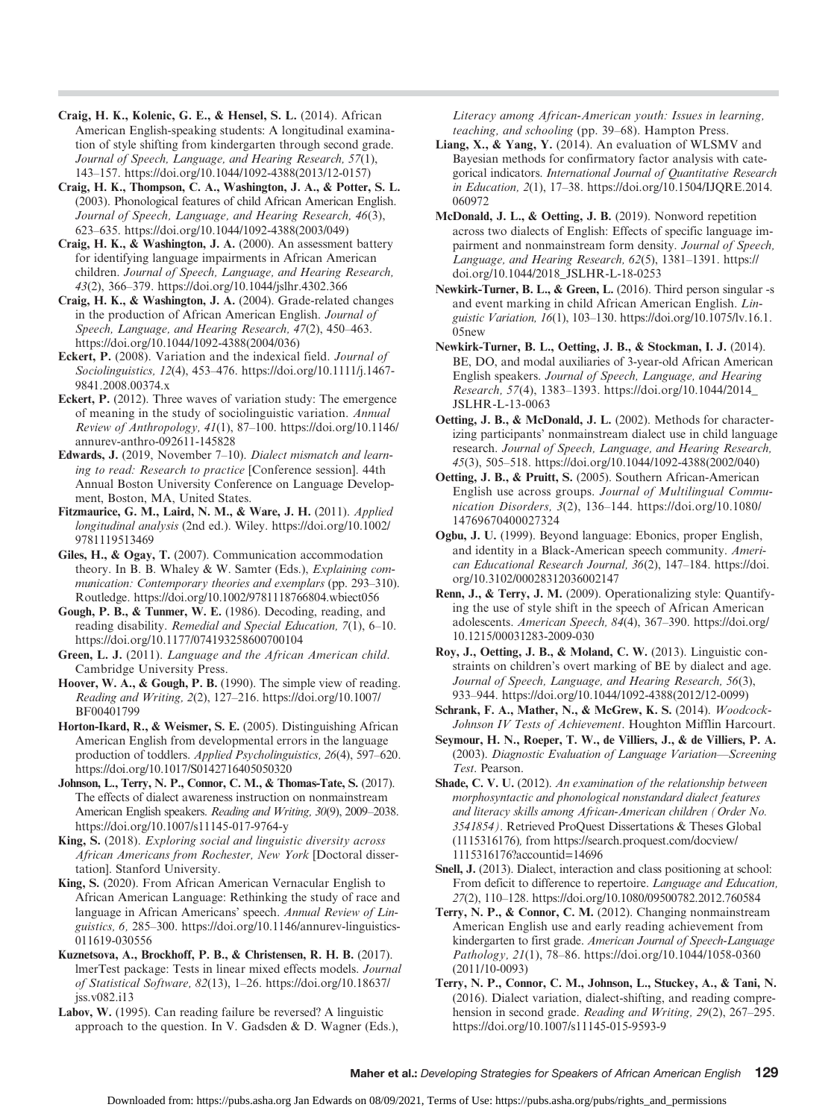Craig, H. K., Kolenic, G. E., & Hensel, S. L. (2014). African American English-speaking students: A longitudinal examination of style shifting from kindergarten through second grade. Journal of Speech, Language, and Hearing Research, 57(1), 143–157. [https://doi.org/10.1044/1092-4388\(2013/12-0157\)](https://doi.org/10.1044/1092-4388(2013/12-0157))

Craig, H. K., Thompson, C. A., Washington, J. A., & Potter, S. L. (2003). Phonological features of child African American English. Journal of Speech, Language, and Hearing Research, 46(3), 623–635. [https://doi.org/10.1044/1092-4388\(2003/049\)](https://doi.org/10.1044/1092-4388(2003/049))

Craig, H. K., & Washington, J. A. (2000). An assessment battery for identifying language impairments in African American children. Journal of Speech, Language, and Hearing Research, 43(2), 366–379.<https://doi.org/10.1044/jslhr.4302.366>

Craig, H. K., & Washington, J. A. (2004). Grade-related changes in the production of African American English. Journal of Speech, Language, and Hearing Research, 47(2), 450–463. [https://doi.org/10.1044/1092-4388\(2004/036\)](https://doi.org/10.1044/1092-4388(2004/036))

Eckert, P. (2008). Variation and the indexical field. Journal of Sociolinguistics, 12(4), 453–476. [https://doi.org/10.1111/j.1467-](https://doi.org/10.1111/j.1467-9841.2008.00374.x) 9841.2008.00374 x

Eckert, P. (2012). Three waves of variation study: The emergence of meaning in the study of sociolinguistic variation. Annual Review of Anthropology, 41(1), 87–100. [https://doi.org/10.1146/](https://doi.org/10.1146/annurev-anthro-092611-145828) [annurev-anthro-092611-145828](https://doi.org/10.1146/annurev-anthro-092611-145828)

Edwards, J. (2019, November 7–10). Dialect mismatch and learning to read: Research to practice [Conference session]. 44th Annual Boston University Conference on Language Development, Boston, MA, United States.

Fitzmaurice, G. M., Laird, N. M., & Ware, J. H. (2011). Applied longitudinal analysis (2nd ed.). Wiley. [https://doi.org/10.1002/](https://doi.org/10.1002/9781119513469) [9781119513469](https://doi.org/10.1002/9781119513469)

Giles, H., & Ogay, T. (2007). Communication accommodation theory. In B. B. Whaley & W. Samter (Eds.), Explaining communication: Contemporary theories and exemplars (pp. 293–310). Routledge.<https://doi.org/10.1002/9781118766804.wbiect056>

Gough, P. B., & Tunmer, W. E. (1986). Decoding, reading, and reading disability. Remedial and Special Education, 7(1), 6–10. <https://doi.org/10.1177/074193258600700104>

Green, L. J. (2011). Language and the African American child. Cambridge University Press.

Hoover, W. A., & Gough, P. B. (1990). The simple view of reading. Reading and Writing, 2(2), 127–216. [https://doi.org/10.1007/](https://doi.org/10.1007/BF00401799) [BF00401799](https://doi.org/10.1007/BF00401799)

Horton-Ikard, R., & Weismer, S. E. (2005). Distinguishing African American English from developmental errors in the language production of toddlers. Applied Psycholinguistics, 26(4), 597–620. <https://doi.org/10.1017/S0142716405050320>

Johnson, L., Terry, N. P., Connor, C. M., & Thomas-Tate, S. (2017). The effects of dialect awareness instruction on nonmainstream American English speakers. Reading and Writing, 30(9), 2009–2038. <https://doi.org/10.1007/s11145-017-9764-y>

King, S. (2018). Exploring social and linguistic diversity across African Americans from Rochester, New York [Doctoral dissertation]. Stanford University.

King, S. (2020). From African American Vernacular English to African American Language: Rethinking the study of race and language in African Americans' speech. Annual Review of Linguistics, 6, 285–300. [https://doi.org/10.1146/annurev-linguistics-](https://doi.org/10.1146/annurev-linguistics-011619-030556)[011619-030556](https://doi.org/10.1146/annurev-linguistics-011619-030556)

Kuznetsova, A., Brockhoff, P. B., & Christensen, R. H. B. (2017). lmerTest package: Tests in linear mixed effects models. Journal of Statistical Software, 82(13), 1–26. [https://doi.org/10.18637/](https://doi.org/10.18637/jss.v082.i13) [jss.v082.i13](https://doi.org/10.18637/jss.v082.i13)

Labov, W. (1995). Can reading failure be reversed? A linguistic approach to the question. In V. Gadsden & D. Wagner (Eds.), Literacy among African-American youth: Issues in learning, teaching, and schooling (pp. 39–68). Hampton Press.

Liang, X., & Yang, Y. (2014). An evaluation of WLSMV and Bayesian methods for confirmatory factor analysis with categorical indicators. International Journal of Quantitative Research in Education, 2(1), 17–38. [https://doi.org/10.1504/IJQRE.2014.](https://doi.org/10.1504/IJQRE.2014.060972) [060972](https://doi.org/10.1504/IJQRE.2014.060972)

McDonald, J. L., & Oetting, J. B. (2019). Nonword repetition across two dialects of English: Effects of specific language impairment and nonmainstream form density. Journal of Speech, Language, and Hearing Research, 62(5), 1381–1391. [https://](https://doi.org/10.1044/2018_JSLHR-L-18-0253) [doi.org/10.1044/2018\\_JSLHR-L-18-0253](https://doi.org/10.1044/2018_JSLHR-L-18-0253)

Newkirk-Turner, B. L., & Green, L. (2016). Third person singular -s and event marking in child African American English. Linguistic Variation, 16(1), 103–130. [https://doi.org/10.1075/lv.16.1.](https://doi.org/10.1075/lv.16.1.05new) [05new](https://doi.org/10.1075/lv.16.1.05new)

Newkirk-Turner, B. L., Oetting, J. B., & Stockman, I. J. (2014). BE, DO, and modal auxiliaries of 3-year-old African American English speakers. Journal of Speech, Language, and Hearing Research, 57(4), 1383–1393. [https://doi.org/10.1044/2014\\_](https://doi.org/10.1044/2014_JSLHR-L-13-0063) [JSLHR-L-13-0063](https://doi.org/10.1044/2014_JSLHR-L-13-0063)

Oetting, J. B., & McDonald, J. L. (2002). Methods for characterizing participants' nonmainstream dialect use in child language research. Journal of Speech, Language, and Hearing Research, 45(3), 505–518. [https://doi.org/10.1044/1092-4388\(2002/040\)](https://doi.org/10.1044/1092-4388(2002/040))

Oetting, J. B., & Pruitt, S. (2005). Southern African-American English use across groups. Journal of Multilingual Communication Disorders, 3(2), 136–144. [https://doi.org/10.1080/](https://doi.org/10.1080/14769670400027324) [14769670400027324](https://doi.org/10.1080/14769670400027324)

Ogbu, J. U. (1999). Beyond language: Ebonics, proper English, and identity in a Black-American speech community. American Educational Research Journal, 36(2), 147–184. [https://doi.](https://doi.org/10.3102/00028312036002147) [org/10.3102/00028312036002147](https://doi.org/10.3102/00028312036002147)

Renn, J., & Terry, J. M. (2009). Operationalizing style: Quantifying the use of style shift in the speech of African American adolescents. American Speech, 84(4), 367–390. [https://doi.org/](https://doi.org/10.1215/00031283-2009-030) [10.1215/00031283-2009-030](https://doi.org/10.1215/00031283-2009-030)

Roy, J., Oetting, J. B., & Moland, C. W. (2013). Linguistic constraints on children's overt marking of BE by dialect and age. Journal of Speech, Language, and Hearing Research, 56(3), 933–944. [https://doi.org/10.1044/1092-4388\(2012/12-0099\)](https://doi.org/10.1044/1092-4388(2012/12-0099))

Schrank, F. A., Mather, N., & McGrew, K. S. (2014). Woodcock-Johnson IV Tests of Achievement. Houghton Mifflin Harcourt.

Seymour, H. N., Roeper, T. W., de Villiers, J., & de Villiers, P. A. (2003). Diagnostic Evaluation of Language Variation—Screening Test. Pearson.

Shade, C. V. U. (2012). An examination of the relationship between morphosyntactic and phonological nonstandard dialect features and literacy skills among African-American children (Order No. 3541854). Retrieved ProQuest Dissertations & Theses Global (1115316176), from [https://search.proquest.com/docview/](https://search.proquest.com/docview/1115316176?accountid=14696) [1115316176?accountid=14696](https://search.proquest.com/docview/1115316176?accountid=14696)

Snell, J. (2013). Dialect, interaction and class positioning at school: From deficit to difference to repertoire. Language and Education, 27(2), 110–128.<https://doi.org/10.1080/09500782.2012.760584>

Terry, N. P., & Connor, C. M. (2012). Changing nonmainstream American English use and early reading achievement from kindergarten to first grade. American Journal of Speech-Language Pathology, 21(1), 78–86. [https://doi.org/10.1044/1058-0360](https://doi.org/10.1044/1058-0360(2011/10-0093)) [\(2011/10-0093\)](https://doi.org/10.1044/1058-0360(2011/10-0093))

Terry, N. P., Connor, C. M., Johnson, L., Stuckey, A., & Tani, N. (2016). Dialect variation, dialect-shifting, and reading comprehension in second grade. Reading and Writing, 29(2), 267–295. <https://doi.org/10.1007/s11145-015-9593-9>